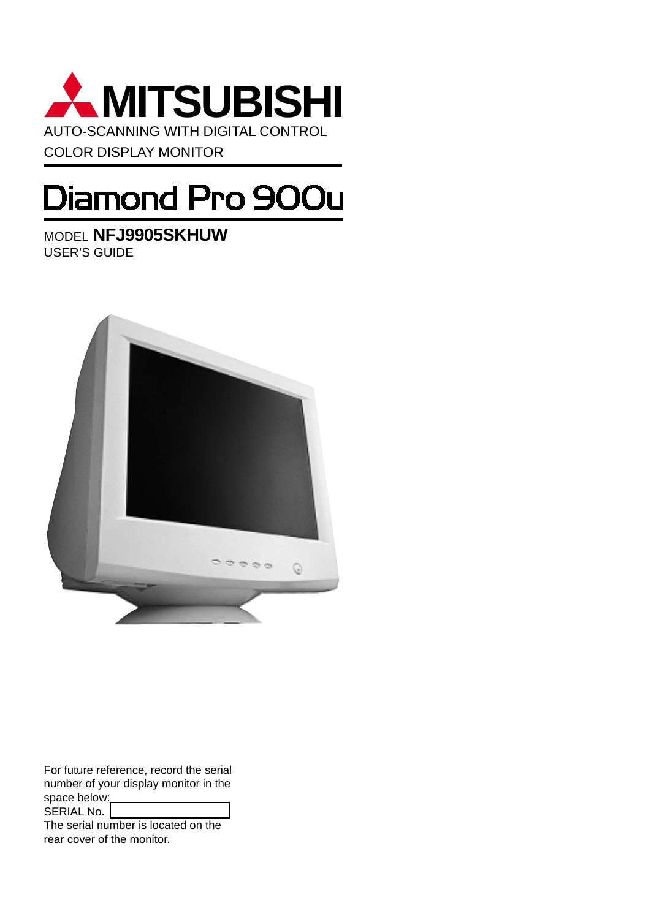

# Diamond Pro 900u

MODEL **NFJ9905SKHUW** USER'S GUIDE



For future reference, record the serial number of your display monitor in the space below: SERIAL No.

The serial number is located on the rear cover of the monitor.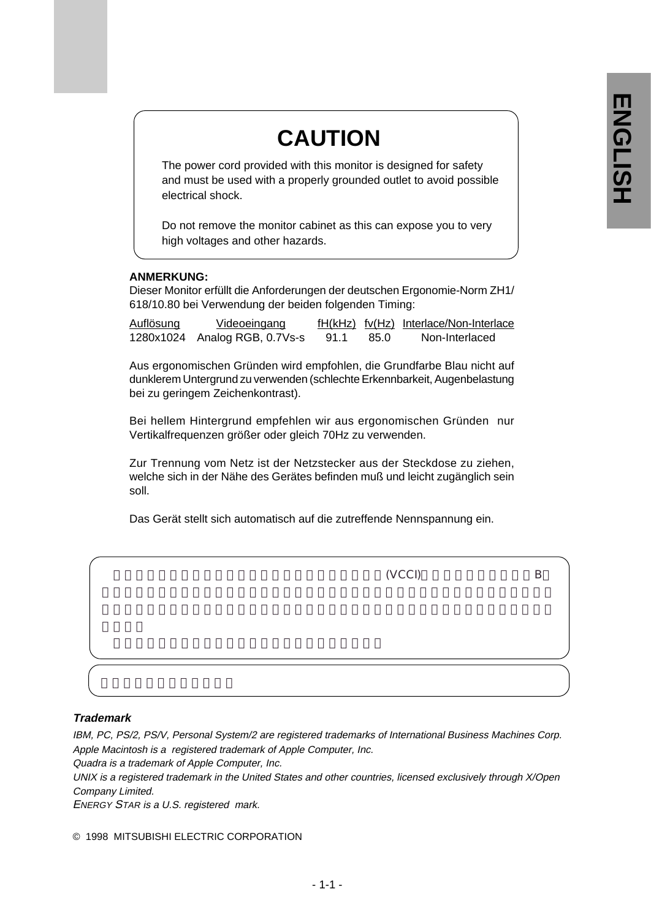# **CAUTION**

The power cord provided with this monitor is designed for safety and must be used with a properly grounded outlet to avoid possible electrical shock.

Do not remove the monitor cabinet as this can expose you to very high voltages and other hazards.

### **ANMERKUNG:**

Dieser Monitor erfüllt die Anforderungen der deutschen Ergonomie-Norm ZH1/ 618/10.80 bei Verwendung der beiden folgenden Timing:

| <u>Auflösung</u> | <u>Videoeingang</u>           |      |      | fH(kHz) fv(Hz) Interlace/Non-Interlace |
|------------------|-------------------------------|------|------|----------------------------------------|
|                  | 1280x1024 Analog RGB, 0.7Vs-s | 91.1 | 85.0 | Non-Interlaced                         |

Aus ergonomischen Gründen wird empfohlen, die Grundfarbe Blau nicht auf dunklerem Untergrund zu verwenden (schlechte Erkennbarkeit, Augenbelastung bei zu geringem Zeichenkontrast).

Bei hellem Hintergrund empfehlen wir aus ergonomischen Gründen nur Vertikalfrequenzen größer oder gleich 70Hz zu verwenden.

Zur Trennung vom Netz ist der Netzstecker aus der Steckdose zu ziehen, welche sich in der Nähe des Gerätes befinden muß und leicht zugänglich sein soll.

Das Gerät stellt sich automatisch auf die zutreffende Nennspannung ein.

| (VCCI) |  |
|--------|--|
|        |  |
|        |  |
|        |  |

### **Trademark**

IBM, PC, PS/2, PS/V, Personal System/2 are registered trademarks of International Business Machines Corp. Apple Macintosh is a registered trademark of Apple Computer, Inc.

Quadra is a trademark of Apple Computer, Inc.

UNIX is a registered trademark in the United States and other countries, licensed exclusively through X/Open Company Limited.

ENERGY STAR is a U.S. registered mark.

© 1998 MITSUBISHI ELECTRIC CORPORATION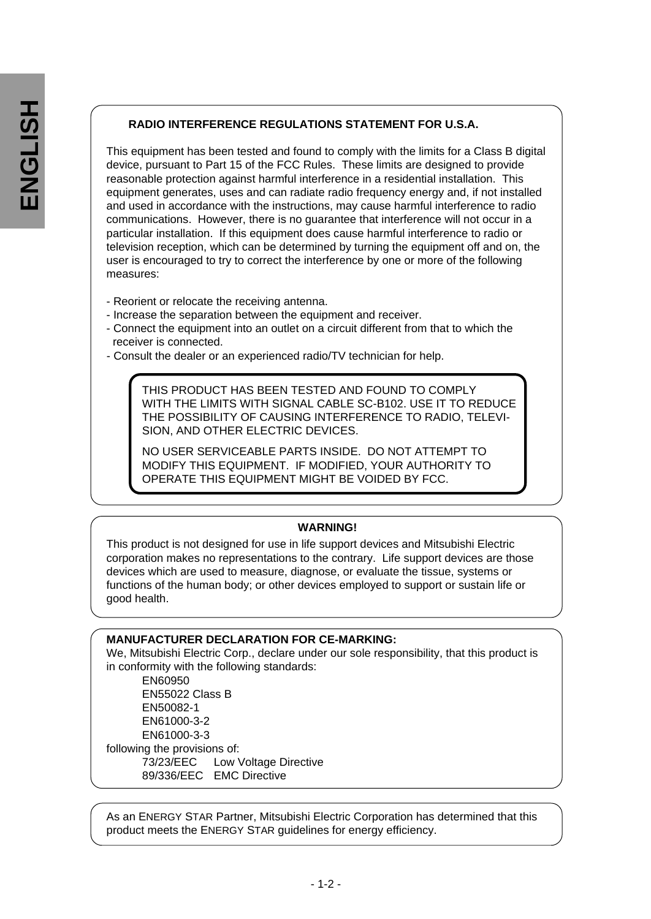### **RADIO INTERFERENCE REGULATIONS STATEMENT FOR U.S.A.**

This equipment has been tested and found to comply with the limits for a Class B digital device, pursuant to Part 15 of the FCC Rules. These limits are designed to provide reasonable protection against harmful interference in a residential installation. This equipment generates, uses and can radiate radio frequency energy and, if not installed and used in accordance with the instructions, may cause harmful interference to radio communications. However, there is no guarantee that interference will not occur in a particular installation. If this equipment does cause harmful interference to radio or television reception, which can be determined by turning the equipment off and on, the user is encouraged to try to correct the interference by one or more of the following measures:

- Reorient or relocate the receiving antenna.
- Increase the separation between the equipment and receiver.
- Connect the equipment into an outlet on a circuit different from that to which the receiver is connected.
- Consult the dealer or an experienced radio/TV technician for help.

THIS PRODUCT HAS BEEN TESTED AND FOUND TO COMPLY WITH THE LIMITS WITH SIGNAL CABLE SC-B102. USE IT TO REDUCE THE POSSIBILITY OF CAUSING INTERFERENCE TO RADIO, TELEVI-SION, AND OTHER ELECTRIC DEVICES.

NO USER SERVICEABLE PARTS INSIDE. DO NOT ATTEMPT TO MODIFY THIS EQUIPMENT. IF MODIFIED, YOUR AUTHORITY TO OPERATE THIS EQUIPMENT MIGHT BE VOIDED BY FCC.

### **WARNING!**

This product is not designed for use in life support devices and Mitsubishi Electric corporation makes no representations to the contrary. Life support devices are those devices which are used to measure, diagnose, or evaluate the tissue, systems or functions of the human body; or other devices employed to support or sustain life or good health.

### **MANUFACTURER DECLARATION FOR CE-MARKING:**

We, Mitsubishi Electric Corp., declare under our sole responsibility, that this product is in conformity with the following standards: EN60950 EN55022 Class B EN50082-1 EN61000-3-2 EN61000-3-3 following the provisions of: 73/23/EEC Low Voltage Directive 89/336/EEC EMC Directive

As an ENERGY STAR Partner, Mitsubishi Electric Corporation has determined that this product meets the ENERGY STAR guidelines for energy efficiency.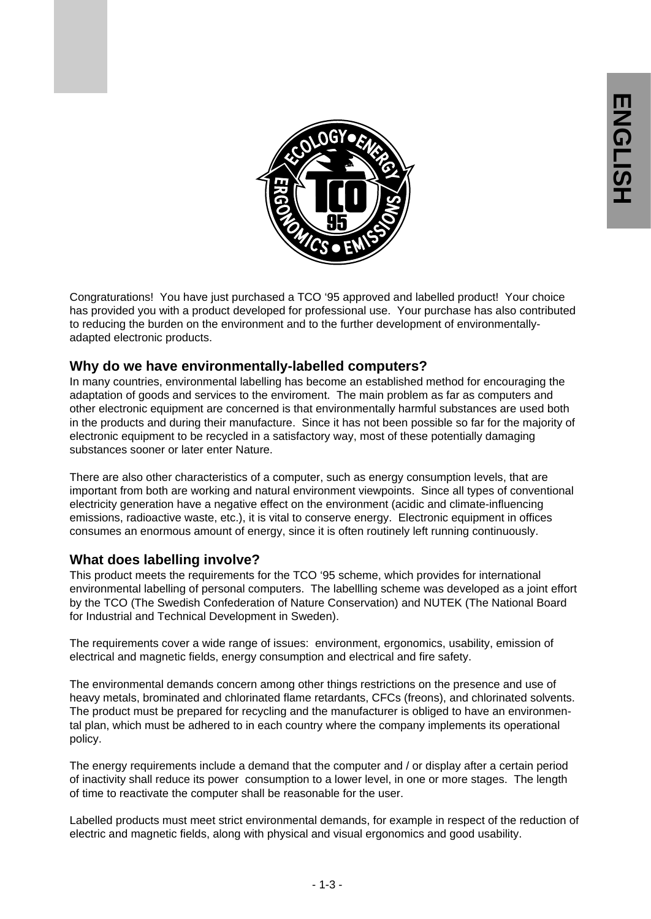

Congraturations! You have just purchased a TCO '95 approved and labelled product! Your choice has provided you with a product developed for professional use. Your purchase has also contributed to reducing the burden on the environment and to the further development of environmentallyadapted electronic products.

### **Why do we have environmentally-labelled computers?**

In many countries, environmental labelling has become an established method for encouraging the adaptation of goods and services to the enviroment. The main problem as far as computers and other electronic equipment are concerned is that environmentally harmful substances are used both in the products and during their manufacture. Since it has not been possible so far for the majority of electronic equipment to be recycled in a satisfactory way, most of these potentially damaging substances sooner or later enter Nature.

There are also other characteristics of a computer, such as energy consumption levels, that are important from both are working and natural environment viewpoints. Since all types of conventional electricity generation have a negative effect on the environment (acidic and climate-influencing emissions, radioactive waste, etc.), it is vital to conserve energy. Electronic equipment in offices consumes an enormous amount of energy, since it is often routinely left running continuously.

### **What does labelling involve?**

This product meets the requirements for the TCO '95 scheme, which provides for international environmental labelling of personal computers. The labellling scheme was developed as a joint effort by the TCO (The Swedish Confederation of Nature Conservation) and NUTEK (The National Board for Industrial and Technical Development in Sweden).

The requirements cover a wide range of issues: environment, ergonomics, usability, emission of electrical and magnetic fields, energy consumption and electrical and fire safety.

The environmental demands concern among other things restrictions on the presence and use of heavy metals, brominated and chlorinated flame retardants, CFCs (freons), and chlorinated solvents. The product must be prepared for recycling and the manufacturer is obliged to have an environmental plan, which must be adhered to in each country where the company implements its operational policy.

The energy requirements include a demand that the computer and / or display after a certain period of inactivity shall reduce its power consumption to a lower level, in one or more stages. The length of time to reactivate the computer shall be reasonable for the user.

Labelled products must meet strict environmental demands, for example in respect of the reduction of electric and magnetic fields, along with physical and visual ergonomics and good usability.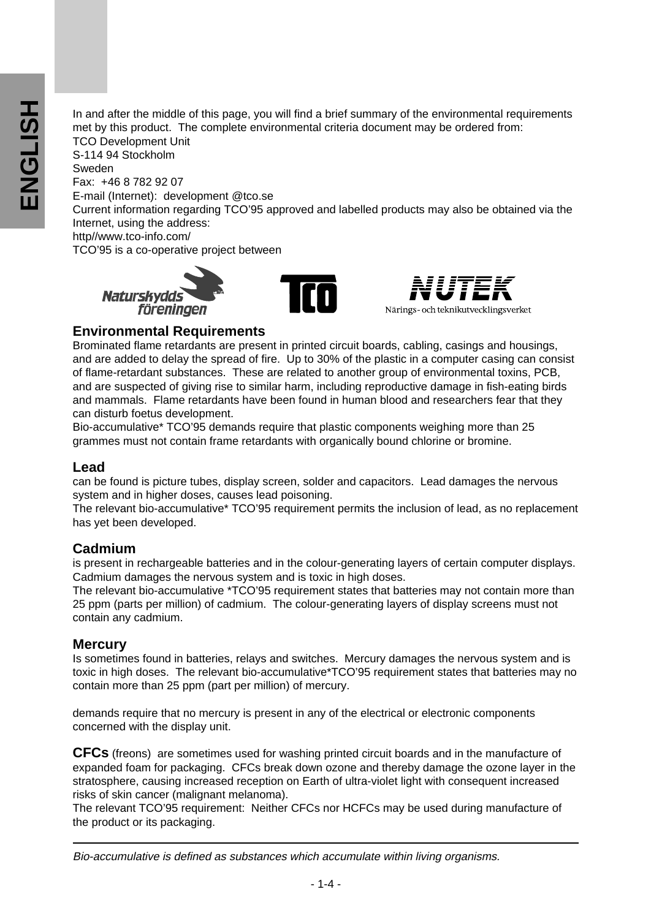In and after the middle of this page, you will find a brief summary of the environmental requirements met by this product. The complete environmental criteria document may be ordered from: TCO Development Unit S-114 94 Stockholm Sweden Fax: +46 8 782 92 07 E-mail (Internet): development @tco.se Current information regarding TCO'95 approved and labelled products may also be obtained via the Internet, using the address: http//www.tco-info.com/ TCO'95 is a co-operative project between







### **Environmental Requirements**

Brominated flame retardants are present in printed circuit boards, cabling, casings and housings, and are added to delay the spread of fire. Up to 30% of the plastic in a computer casing can consist of flame-retardant substances. These are related to another group of environmental toxins, PCB, and are suspected of giving rise to similar harm, including reproductive damage in fish-eating birds and mammals. Flame retardants have been found in human blood and researchers fear that they can disturb foetus development.

Bio-accumulative\* TCO'95 demands require that plastic components weighing more than 25 grammes must not contain frame retardants with organically bound chlorine or bromine.

### **Lead**

can be found is picture tubes, display screen, solder and capacitors. Lead damages the nervous system and in higher doses, causes lead poisoning.

The relevant bio-accumulative\* TCO'95 requirement permits the inclusion of lead, as no replacement has yet been developed.

### **Cadmium**

is present in rechargeable batteries and in the colour-generating layers of certain computer displays. Cadmium damages the nervous system and is toxic in high doses.

The relevant bio-accumulative \*TCO'95 requirement states that batteries may not contain more than 25 ppm (parts per million) of cadmium. The colour-generating layers of display screens must not contain any cadmium.

### **Mercury**

Is sometimes found in batteries, relays and switches. Mercury damages the nervous system and is toxic in high doses. The relevant bio-accumulative\*TCO'95 requirement states that batteries may no contain more than 25 ppm (part per million) of mercury.

demands require that no mercury is present in any of the electrical or electronic components concerned with the display unit.

**CFCs** (freons) are sometimes used for washing printed circuit boards and in the manufacture of expanded foam for packaging. CFCs break down ozone and thereby damage the ozone layer in the stratosphere, causing increased reception on Earth of ultra-violet light with consequent increased risks of skin cancer (malignant melanoma).

The relevant TCO'95 requirement: Neither CFCs nor HCFCs may be used during manufacture of the product or its packaging.

Bio-accumulative is defined as substances which accumulate within living organisms.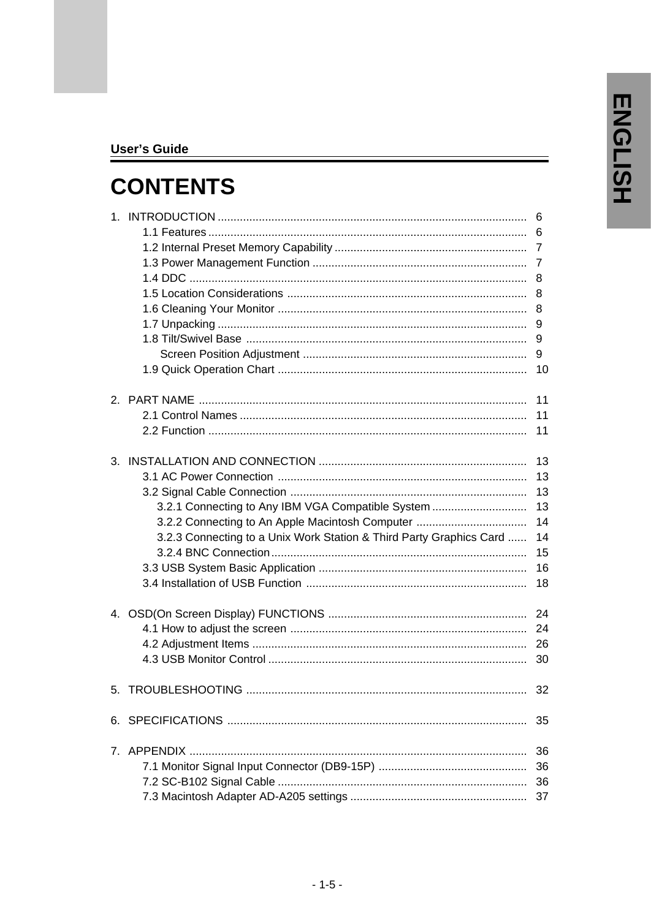### **User's Guide**

# **CONTENTS**

|                                                                                                                                                                             | 6<br>6<br>8<br>8<br>8<br>9       |
|-----------------------------------------------------------------------------------------------------------------------------------------------------------------------------|----------------------------------|
|                                                                                                                                                                             | 9<br>9                           |
|                                                                                                                                                                             | 10                               |
|                                                                                                                                                                             | 11<br>11<br>11                   |
|                                                                                                                                                                             | 13<br>13<br>13                   |
| 3.2.1 Connecting to Any IBM VGA Compatible System<br>3.2.2 Connecting to An Apple Macintosh Computer<br>3.2.3 Connecting to a Unix Work Station & Third Party Graphics Card | 13<br>14<br>14<br>15<br>16<br>18 |
|                                                                                                                                                                             | 24<br>24<br>26<br>30             |
|                                                                                                                                                                             | 32                               |
|                                                                                                                                                                             | 35                               |
|                                                                                                                                                                             |                                  |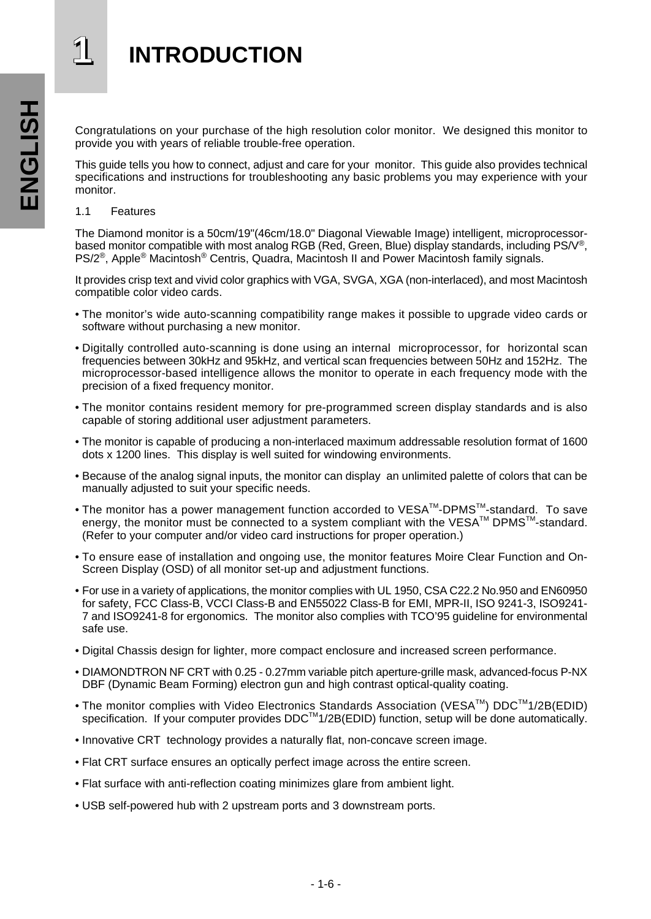# **1 INTRODUCTION**

Congratulations on your purchase of the high resolution color monitor. We designed this monitor to provide you with years of reliable trouble-free operation.

This guide tells you how to connect, adjust and care for your monitor. This guide also provides technical specifications and instructions for troubleshooting any basic problems you may experience with your monitor.

1.1 Features

The Diamond monitor is a 50cm/19"(46cm/18.0" Diagonal Viewable Image) intelligent, microprocessorbased monitor compatible with most analog RGB (Red, Green, Blue) display standards, including PS/V®, PS/2®, Apple® Macintosh® Centris, Quadra, Macintosh II and Power Macintosh family signals.

It provides crisp text and vivid color graphics with VGA, SVGA, XGA (non-interlaced), and most Macintosh compatible color video cards.

- The monitor's wide auto-scanning compatibility range makes it possible to upgrade video cards or software without purchasing a new monitor.
- Digitally controlled auto-scanning is done using an internal microprocessor, for horizontal scan frequencies between 30kHz and 95kHz, and vertical scan frequencies between 50Hz and 152Hz. The microprocessor-based intelligence allows the monitor to operate in each frequency mode with the precision of a fixed frequency monitor.
- The monitor contains resident memory for pre-programmed screen display standards and is also capable of storing additional user adjustment parameters.
- The monitor is capable of producing a non-interlaced maximum addressable resolution format of 1600 dots x 1200 lines. This display is well suited for windowing environments.
- Because of the analog signal inputs, the monitor can display an unlimited palette of colors that can be manually adjusted to suit your specific needs.
- The monitor has a power management function accorded to VESATM-DPMSTM-standard. To save energy, the monitor must be connected to a system compliant with the VESA™ DPMS™-standard. (Refer to your computer and/or video card instructions for proper operation.)
- To ensure ease of installation and ongoing use, the monitor features Moire Clear Function and On-Screen Display (OSD) of all monitor set-up and adjustment functions.
- For use in a variety of applications, the monitor complies with UL 1950, CSA C22.2 No.950 and EN60950 for safety, FCC Class-B, VCCI Class-B and EN55022 Class-B for EMI, MPR-II, ISO 9241-3, ISO9241- 7 and ISO9241-8 for ergonomics. The monitor also complies with TCO'95 guideline for environmental safe use.
- Digital Chassis design for lighter, more compact enclosure and increased screen performance.
- DIAMONDTRON NF CRT with 0.25 0.27mm variable pitch aperture-grille mask, advanced-focus P-NX DBF (Dynamic Beam Forming) electron gun and high contrast optical-quality coating.
- The monitor complies with Video Electronics Standards Association (VESA™) DDC™1/2B(EDID) specification. If your computer provides  $DDC^{M}1/2B(EDID)$  function, setup will be done automatically.
- Innovative CRT technology provides a naturally flat, non-concave screen image.
- Flat CRT surface ensures an optically perfect image across the entire screen.
- Flat surface with anti-reflection coating minimizes glare from ambient light.
- USB self-powered hub with 2 upstream ports and 3 downstream ports.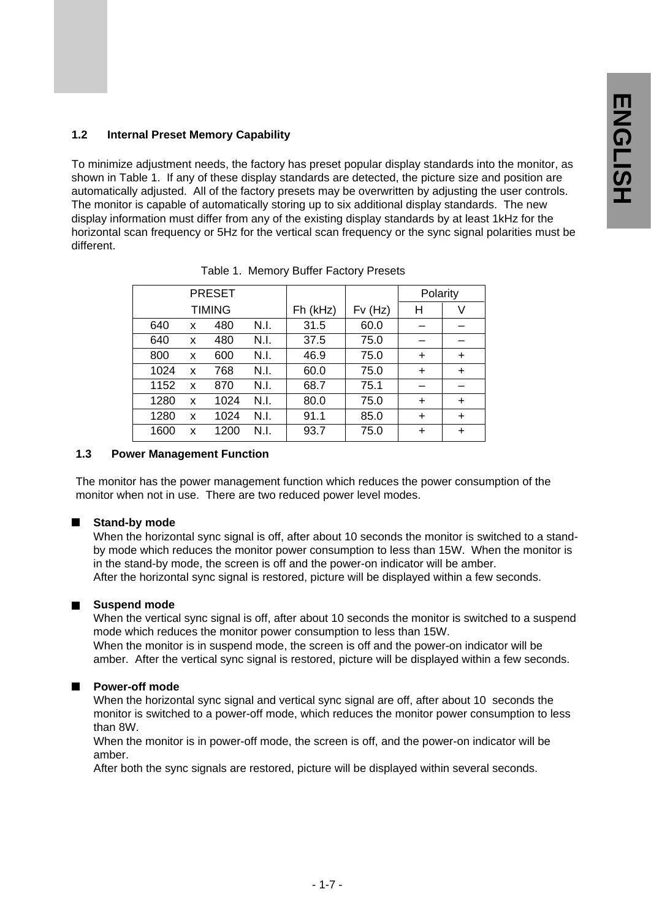### **1.2 Internal Preset Memory Capability**

To minimize adjustment needs, the factory has preset popular display standards into the monitor, as shown in Table 1. If any of these display standards are detected, the picture size and position are automatically adjusted. All of the factory presets may be overwritten by adjusting the user controls. The monitor is capable of automatically storing up to six additional display standards. The new display information must differ from any of the existing display standards by at least 1kHz for the horizontal scan frequency or 5Hz for the vertical scan frequency or the sync signal polarities must be different.

|      |   | <b>PRESET</b> |      |          |        | Polarity  |           |
|------|---|---------------|------|----------|--------|-----------|-----------|
|      |   | <b>TIMING</b> |      | Fh (kHz) | Fv(Hz) | н         | V         |
| 640  | x | 480           | N.I. | 31.5     | 60.0   |           |           |
| 640  | x | 480           | N.I. | 37.5     | 75.0   |           |           |
| 800  | x | 600           | N.I. | 46.9     | 75.0   | $\ddot{}$ | $\ddot{}$ |
| 1024 | x | 768           | N.I. | 60.0     | 75.0   | $\ddot{}$ | $\ddot{}$ |
| 1152 | x | 870           | N.I. | 68.7     | 75.1   |           |           |
| 1280 | x | 1024          | N.I. | 80.0     | 75.0   | $\ddot{}$ | $\ddot{}$ |
| 1280 | x | 1024          | N.I. | 91.1     | 85.0   | $\ddot{}$ | $\ddot{}$ |
| 1600 | x | 1200          | N.I. | 93.7     | 75.0   | $\div$    | $\div$    |

Table 1. Memory Buffer Factory Presets

### **1.3 Power Management Function**

The monitor has the power management function which reduces the power consumption of the monitor when not in use. There are two reduced power level modes.

### **Stand-by mode**

When the horizontal sync signal is off, after about 10 seconds the monitor is switched to a standby mode which reduces the monitor power consumption to less than 15W. When the monitor is in the stand-by mode, the screen is off and the power-on indicator will be amber. After the horizontal sync signal is restored, picture will be displayed within a few seconds.

### **Suspend mode**

When the vertical sync signal is off, after about 10 seconds the monitor is switched to a suspend mode which reduces the monitor power consumption to less than 15W. When the monitor is in suspend mode, the screen is off and the power-on indicator will be amber. After the vertical sync signal is restored, picture will be displayed within a few seconds.

### **Power-off mode**

When the horizontal sync signal and vertical sync signal are off, after about 10 seconds the monitor is switched to a power-off mode, which reduces the monitor power consumption to less than 8W.

When the monitor is in power-off mode, the screen is off, and the power-on indicator will be amber.

After both the sync signals are restored, picture will be displayed within several seconds.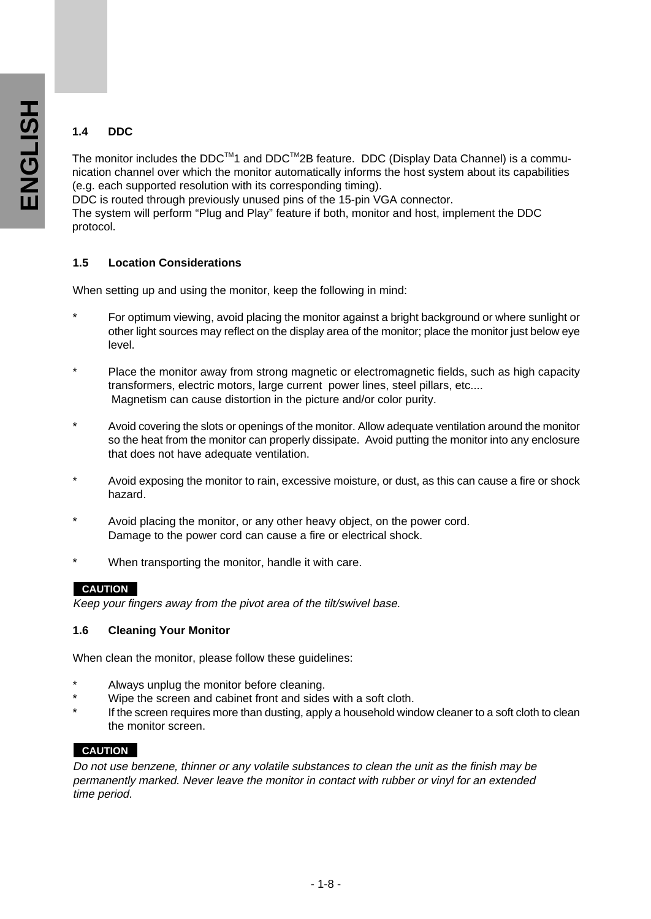### **1.4 DDC**

The monitor includes the  $DDC^{TM}$  and  $DDC^{TM}2B$  feature. DDC (Display Data Channel) is a communication channel over which the monitor automatically informs the host system about its capabilities (e.g. each supported resolution with its corresponding timing).

DDC is routed through previously unused pins of the 15-pin VGA connector.

The system will perform "Plug and Play" feature if both, monitor and host, implement the DDC protocol.

### **1.5 Location Considerations**

When setting up and using the monitor, keep the following in mind:

- For optimum viewing, avoid placing the monitor against a bright background or where sunlight or other light sources may reflect on the display area of the monitor; place the monitor just below eye level.
- \* Place the monitor away from strong magnetic or electromagnetic fields, such as high capacity transformers, electric motors, large current power lines, steel pillars, etc.... Magnetism can cause distortion in the picture and/or color purity.
- \* Avoid covering the slots or openings of the monitor. Allow adequate ventilation around the monitor so the heat from the monitor can properly dissipate. Avoid putting the monitor into any enclosure that does not have adequate ventilation.
- Avoid exposing the monitor to rain, excessive moisture, or dust, as this can cause a fire or shock hazard.
- Avoid placing the monitor, or any other heavy object, on the power cord. Damage to the power cord can cause a fire or electrical shock.
- When transporting the monitor, handle it with care.

### **CAUTION**

Keep your fingers away from the pivot area of the tilt/swivel base.

### **1.6 Cleaning Your Monitor**

When clean the monitor, please follow these guidelines:

- Always unplug the monitor before cleaning.
- Wipe the screen and cabinet front and sides with a soft cloth.
- If the screen requires more than dusting, apply a household window cleaner to a soft cloth to clean the monitor screen.

### **CAUTION**

Do not use benzene, thinner or any volatile substances to clean the unit as the finish may be permanently marked. Never leave the monitor in contact with rubber or vinyl for an extended time period.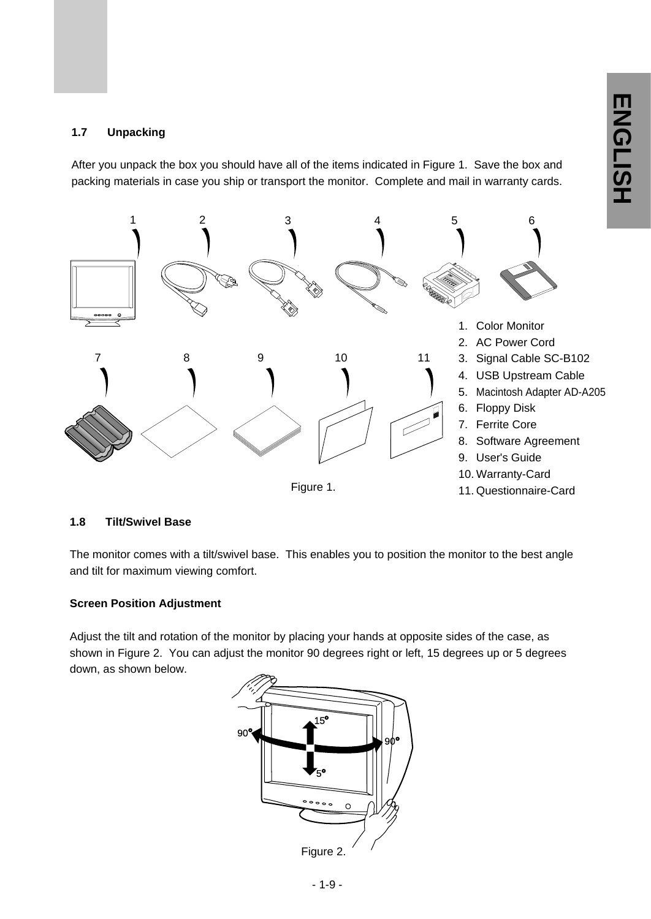### **1.7 Unpacking**

After you unpack the box you should have all of the items indicated in Figure 1. Save the box and packing materials in case you ship or transport the monitor. Complete and mail in warranty cards.



### **1.8 Tilt/Swivel Base**

The monitor comes with a tilt/swivel base. This enables you to position the monitor to the best angle and tilt for maximum viewing comfort.

### **Screen Position Adjustment**

Adjust the tilt and rotation of the monitor by placing your hands at opposite sides of the case, as shown in Figure 2. You can adjust the monitor 90 degrees right or left, 15 degrees up or 5 degrees down, as shown below.

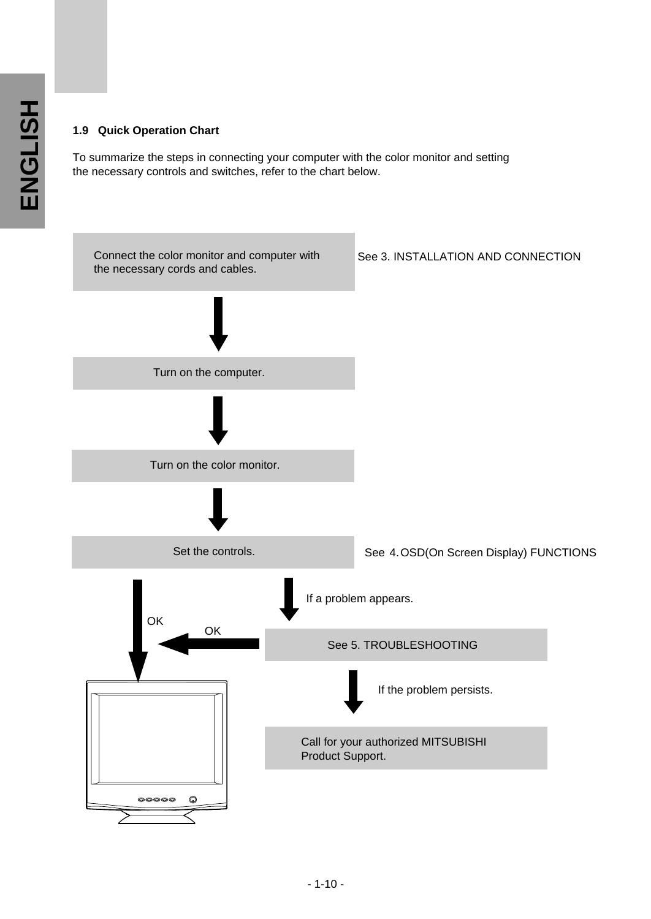### **1.9 Quick Operation Chart**

To summarize the steps in connecting your computer with the color monitor and setting the necessary controls and switches, refer to the chart below.

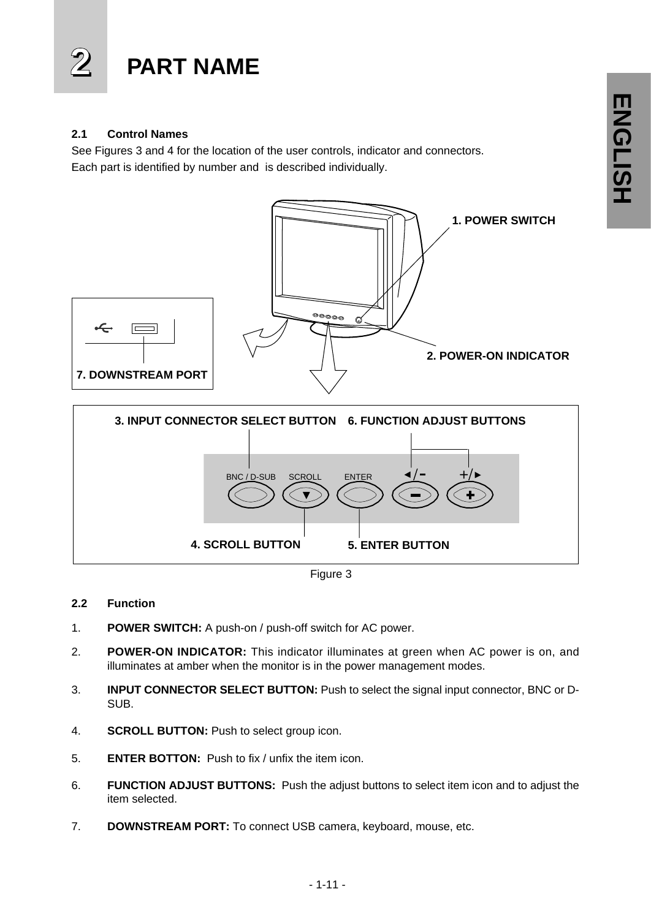

### **2.1 Control Names**

See Figures 3 and 4 for the location of the user controls, indicator and connectors. Each part is identified by number and is described individually.



Figure 3

### **2.2 Function**

- 1. **POWER SWITCH:** A push-on / push-off switch for AC power.
- 2. **POWER-ON INDICATOR:** This indicator illuminates at green when AC power is on, and illuminates at amber when the monitor is in the power management modes.
- 3. **INPUT CONNECTOR SELECT BUTTON:** Push to select the signal input connector, BNC or D-SUB.
- 4. **SCROLL BUTTON:** Push to select group icon.
- 5. **ENTER BOTTON:** Push to fix / unfix the item icon.
- 6. **FUNCTION ADJUST BUTTONS:** Push the adjust buttons to select item icon and to adjust the item selected.
- 7. **DOWNSTREAM PORT:** To connect USB camera, keyboard, mouse, etc.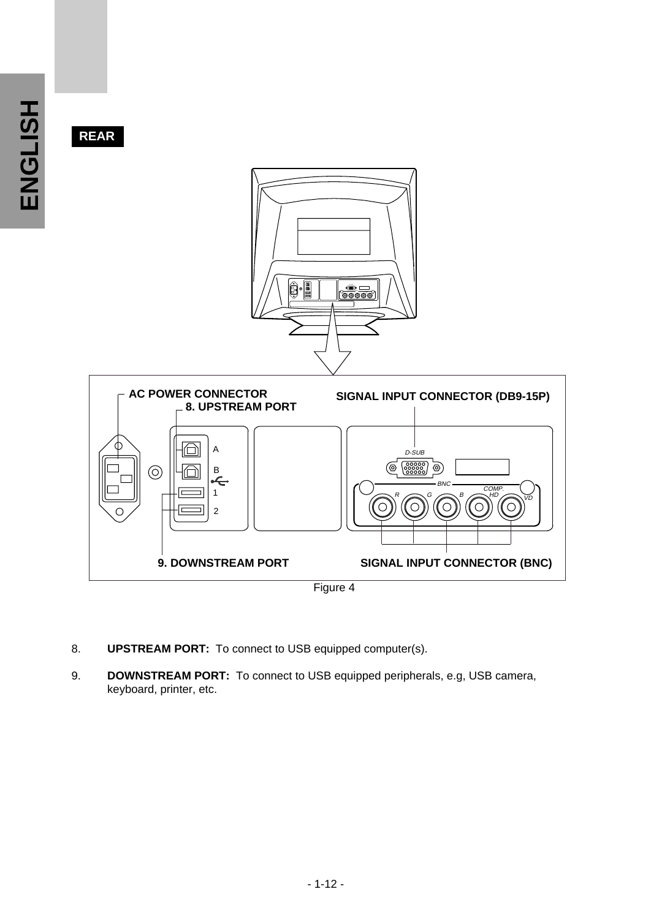**REAR**



Figure 4

**SIGNAL INPUT CONNECTOR (BNC)**

8. **UPSTREAM PORT:** To connect to USB equipped computer(s).

**9. DOWNSTREAM PORT**

9. **DOWNSTREAM PORT:** To connect to USB equipped peripherals, e.g, USB camera, keyboard, printer, etc.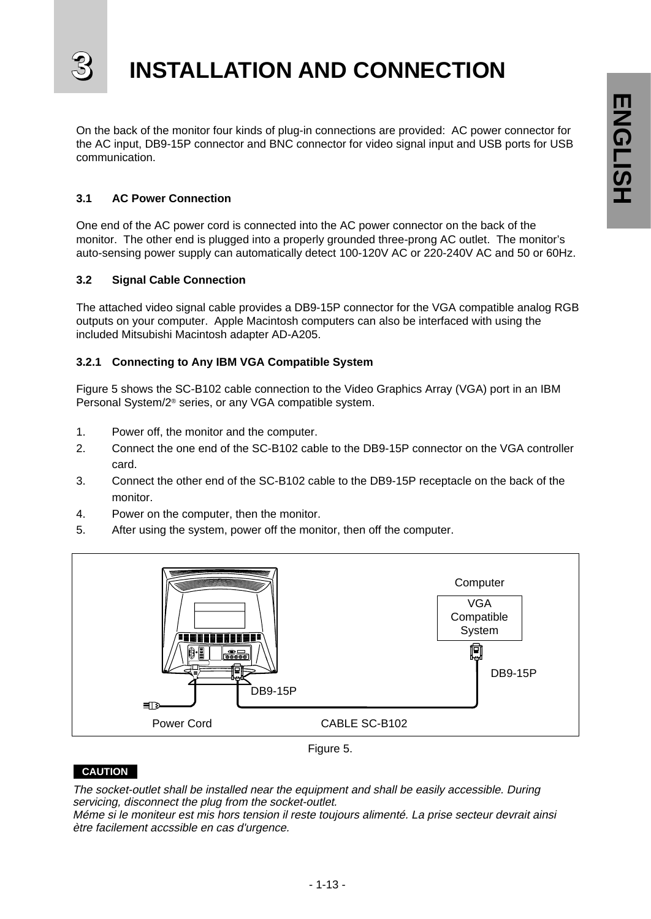

On the back of the monitor four kinds of plug-in connections are provided: AC power connector for the AC input, DB9-15P connector and BNC connector for video signal input and USB ports for USB communication.

### **3.1 AC Power Connection**

One end of the AC power cord is connected into the AC power connector on the back of the monitor. The other end is plugged into a properly grounded three-prong AC outlet. The monitor's auto-sensing power supply can automatically detect 100-120V AC or 220-240V AC and 50 or 60Hz.

### **3.2 Signal Cable Connection**

The attached video signal cable provides a DB9-15P connector for the VGA compatible analog RGB outputs on your computer. Apple Macintosh computers can also be interfaced with using the included Mitsubishi Macintosh adapter AD-A205.

### **3.2.1 Connecting to Any IBM VGA Compatible System**

Figure 5 shows the SC-B102 cable connection to the Video Graphics Array (VGA) port in an IBM Personal System/2® series, or any VGA compatible system.

- 1. Power off, the monitor and the computer.
- 2. Connect the one end of the SC-B102 cable to the DB9-15P connector on the VGA controller card.
- 3. Connect the other end of the SC-B102 cable to the DB9-15P receptacle on the back of the monitor.
- 4. Power on the computer, then the monitor.
- 5. After using the system, power off the monitor, then off the computer.



Figure 5.

### **CAUTION**

**CAUTION** The socket-outlet shall be installed near the equipment and shall be easily accessible. During servicing, disconnect the plug from the socket-outlet.

Méme si le moniteur est mis hors tension il reste toujours alimenté. La prise secteur devrait ainsi  $M$ émenté si le monte tension il reste toujours alimenté. La prise secteurs alimenté en la prise secteurs alimenté. La prise secteurs alimenté en la prise secteurs alimenté. La prise secteurs alimenté en la prise secteurs ètre facilement accssible en cas d'urgence.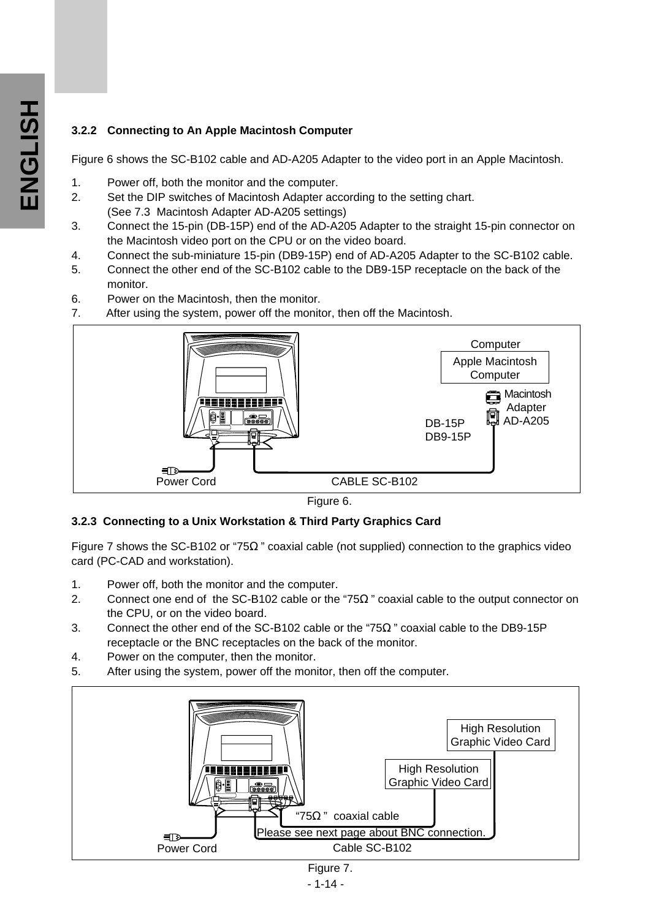### **3.2.2 Connecting to An Apple Macintosh Computer**

Figure 6 shows the SC-B102 cable and AD-A205 Adapter to the video port in an Apple Macintosh.

- 1. Power off, both the monitor and the computer.
- 2. Set the DIP switches of Macintosh Adapter according to the setting chart. (See 7.3 Macintosh Adapter AD-A205 settings)
- 3. Connect the 15-pin (DB-15P) end of the AD-A205 Adapter to the straight 15-pin connector on the Macintosh video port on the CPU or on the video board.
- 4. Connect the sub-miniature 15-pin (DB9-15P) end of AD-A205 Adapter to the SC-B102 cable.
- 5. Connect the other end of the SC-B102 cable to the DB9-15P receptacle on the back of the monitor.
- 6. Power on the Macintosh, then the monitor.
- 7. After using the system, power off the monitor, then off the Macintosh.





### **3.2.3 Connecting to a Unix Workstation & Third Party Graphics Card**

Figure 7 shows the SC-B102 or "75 " coaxial cable (not supplied) connection to the graphics video card (PC-CAD and workstation).

- 1. Power off, both the monitor and the computer.
- 2. Connect one end of the SC-B102 cable or the "75 " coaxial cable to the output connector on the CPU, or on the video board.
- 3. Connect the other end of the SC-B102 cable or the "75 " coaxial cable to the DB9-15P receptacle or the BNC receptacles on the back of the monitor.
- 4. Power on the computer, then the monitor.
- 5. After using the system, power off the monitor, then off the computer.



- 1-14 -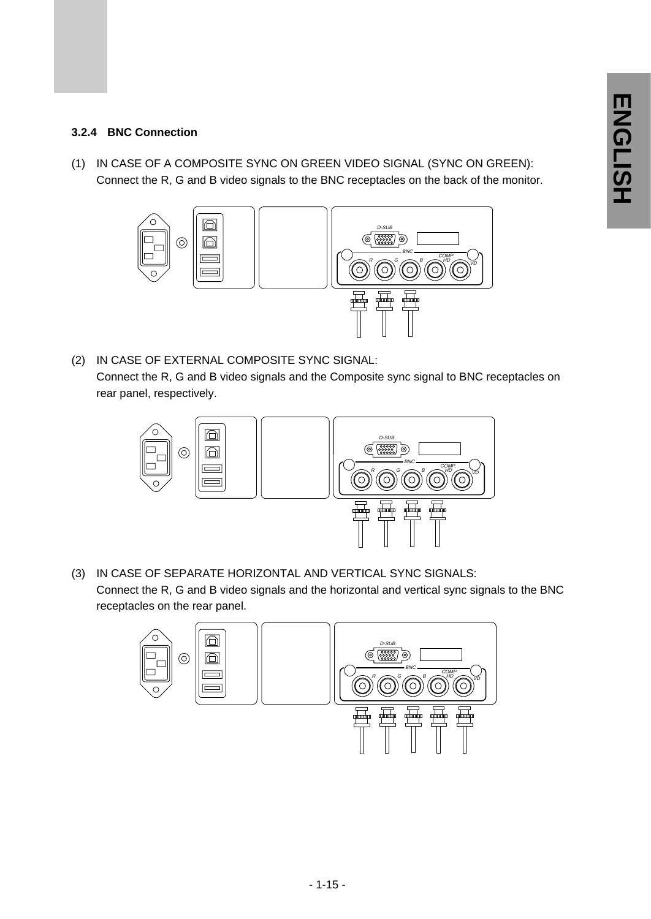### **3.2.4 BNC Connection**

(1) IN CASE OF A COMPOSITE SYNC ON GREEN VIDEO SIGNAL (SYNC ON GREEN): Connect the R, G and B video signals to the BNC receptacles on the back of the monitor.



(2) IN CASE OF EXTERNAL COMPOSITE SYNC SIGNAL: Connect the R, G and B video signals and the Composite sync signal to BNC receptacles on rear panel, respectively.



(3) IN CASE OF SEPARATE HORIZONTAL AND VERTICAL SYNC SIGNALS: Connect the R, G and B video signals and the horizontal and vertical sync signals to the BNC receptacles on the rear panel.

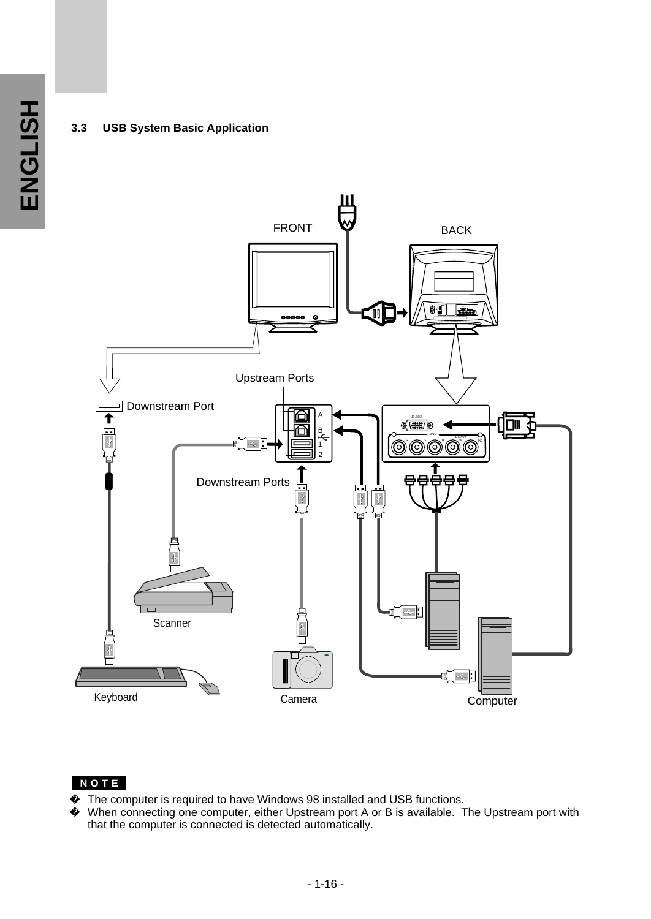### **3.3 USB System Basic Application**



### **NOTE**

The computer is required to have Windows 98 installed and USB functions. When connecting one computer, either Upstream port A or B is available. The Upstream port with that the computer is connected is detected automatically.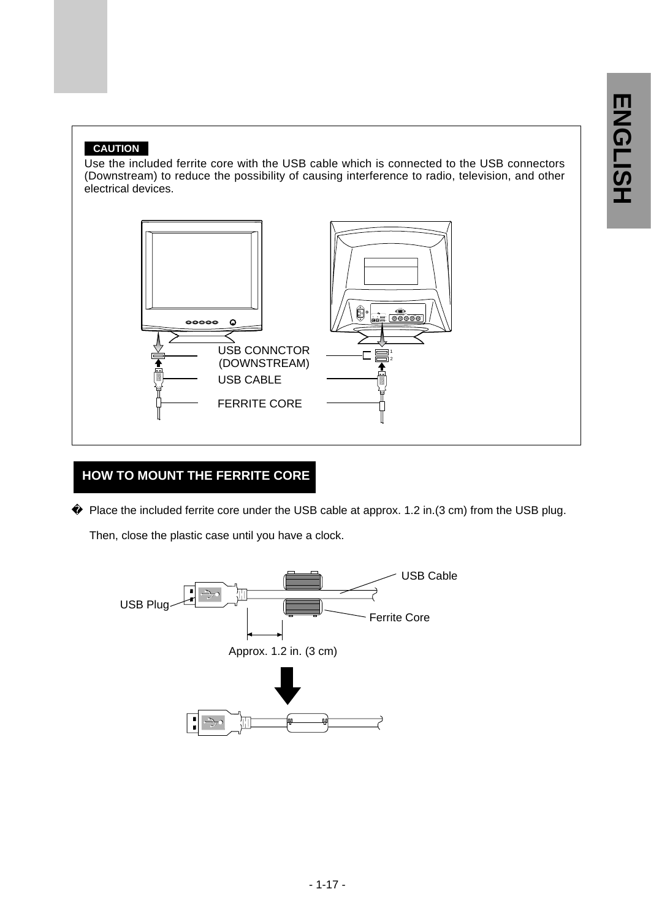### **CAUTION**

Use the included ferrite core with the USB cable which is connected to the USB connectors (Downstream) to reduce the possibility of causing interference to radio, television, and other electrical devices.



## **HOW TO MOUNT THE FERRITE CORE**

Place the included ferrite core under the USB cable at approx. 1.2 in.(3 cm) from the USB plug.

Then, close the plastic case until you have a clock.

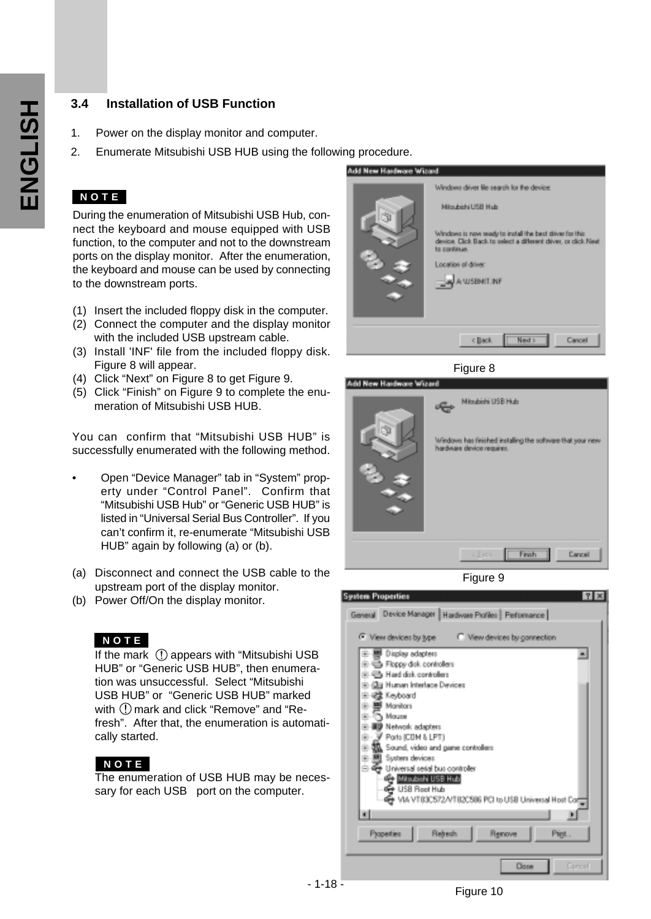### **3.4 Installation of USB Function**

- 1. Power on the display monitor and computer.
- 2. Enumerate Mitsubishi USB HUB using the following procedure.

### **NOTE**

During the enumeration of Mitsubishi USB Hub, connect the keyboard and mouse equipped with USB function, to the computer and not to the downstream ports on the display monitor. After the enumeration, the keyboard and mouse can be used by connecting to the downstream ports.

- (1) Insert the included floppy disk in the computer.
- (2) Connect the computer and the display monitor with the included USB upstream cable.
- (3) Install 'INF' file from the included floppy disk. Figure 8 will appear.
- (4) Click "Next" on Figure 8 to get Figure 9.
- (5) Click "Finish" on Figure 9 to complete the enumeration of Mitsubishi USB HUB.

You can confirm that "Mitsubishi USB HUB" is successfully enumerated with the following method.

- Open "Device Manager" tab in "System" property under "Control Panel". Confirm that "Mitsubishi USB Hub" or "Generic USB HUB" is listed in "Universal Serial Bus Controller". If you can't confirm it, re-enumerate "Mitsubishi USB HUB" again by following (a) or (b).
- (a) Disconnect and connect the USB cable to the upstream port of the display monitor.
- (b) Power Off/On the display monitor.

### **NOTE**

If the mark (!) appears with "Mitsubishi USB HUB" or "Generic USB HUB", then enumeration was unsuccessful. Select "Mitsubishi USB HUB" or "Generic USB HUB" marked with  $\Omega$  mark and click "Remove" and "Refresh". After that, the enumeration is automatically started.

### **NOTE**

The enumeration of USB HUB may be necessary for each USB port on the computer.



Figure 9

hardware device requires.

Windows has finished installing the software that your new

Finish

Cancel

| <b>System Properties</b><br>7x                                      |  |  |  |  |  |
|---------------------------------------------------------------------|--|--|--|--|--|
| General Device Manager   Hardware Profiles   Performance            |  |  |  |  |  |
|                                                                     |  |  |  |  |  |
| <sup>(*</sup> View devices by type<br>C. View devices by connection |  |  |  |  |  |
| <b>图 Display adapters</b><br>٠                                      |  |  |  |  |  |
| B B Floppy disk controllers                                         |  |  |  |  |  |
| h Had disk controllers                                              |  |  |  |  |  |
| (Jia Human Interface Devices                                        |  |  |  |  |  |
| @ Keyboard                                                          |  |  |  |  |  |
| Monitors                                                            |  |  |  |  |  |
| Moura                                                               |  |  |  |  |  |
| Network adapters                                                    |  |  |  |  |  |
| Ports (CDM & LPT)                                                   |  |  |  |  |  |
| Sound, video and game controllers                                   |  |  |  |  |  |
| System devices<br>ΞH                                                |  |  |  |  |  |
| Universal serial bus controller<br>≘⊕                               |  |  |  |  |  |
| Mitsubishi USB Hub<br>USB Root Hub                                  |  |  |  |  |  |
| VIA VT83C572/VT82C586 PCI to USB Universal Host Cor                 |  |  |  |  |  |
|                                                                     |  |  |  |  |  |
| ۰ı                                                                  |  |  |  |  |  |
|                                                                     |  |  |  |  |  |
| Properties<br><b>Retreats</b><br>Renove<br>Pigt.                    |  |  |  |  |  |
|                                                                     |  |  |  |  |  |
| Generi<br>Dase                                                      |  |  |  |  |  |
|                                                                     |  |  |  |  |  |

- 1-18 -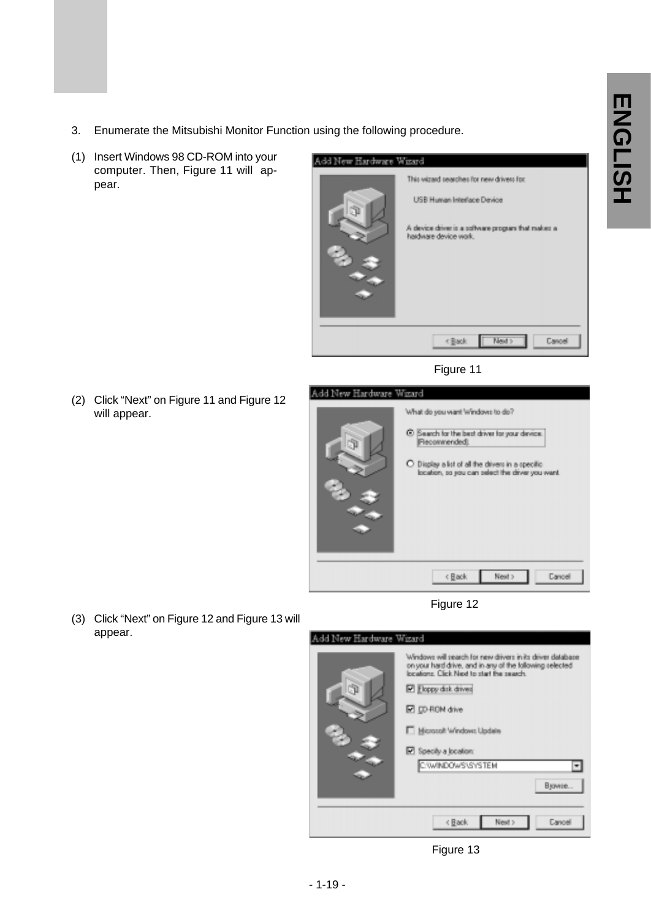- 3. Enumerate the Mitsubishi Monitor Function using the following procedure.
- (1) Insert Windows 98 CD-ROM into your computer. Then, Figure 11 will appear.



Figure 11

(2) Click "Next" on Figure 11 and Figure 12 will appear.



Figure 12





(3) Click "Next" on Figure 12 and Figure 13 will appear.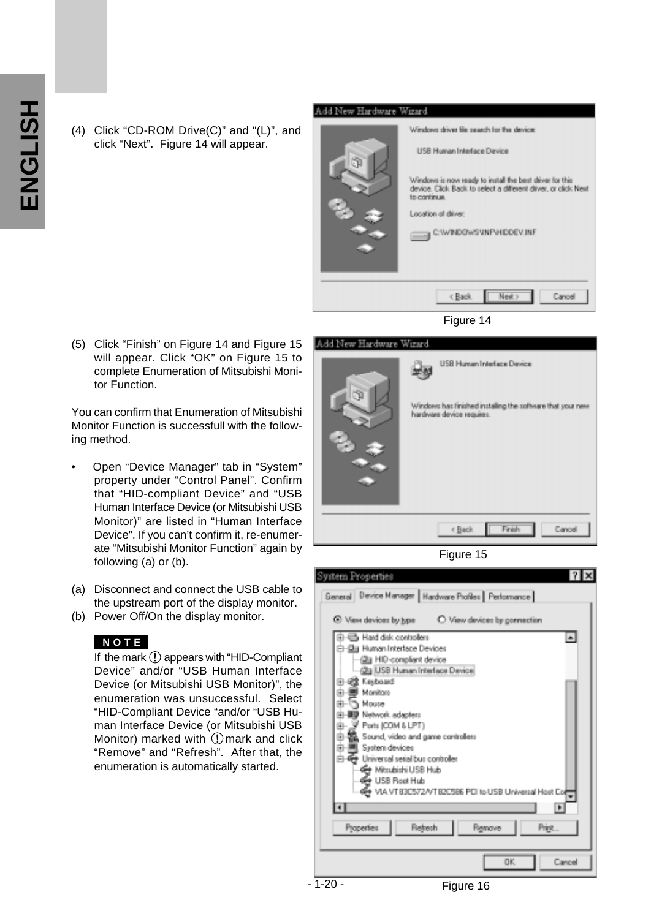(4) Click "CD-ROM Drive(C)" and "(L)", and click "Next". Figure 14 will appear.



Figure 14

(5) Click "Finish" on Figure 14 and Figure 15 will appear. Click "OK" on Figure 15 to complete Enumeration of Mitsubishi Monitor Function.

You can confirm that Enumeration of Mitsubishi Monitor Function is successfull with the following method.

- Open "Device Manager" tab in "System" property under "Control Panel". Confirm that "HID-compliant Device" and "USB Human Interface Device (or Mitsubishi USB Monitor)" are listed in "Human Interface Device". If you can't confirm it, re-enumerate "Mitsubishi Monitor Function" again by following (a) or (b).
- (a) Disconnect and connect the USB cable to the upstream port of the display monitor.
- (b) Power Off/On the display monitor.

### **NOTE**

If the mark  $\Omega$  appears with "HID-Compliant" Device" and/or "USB Human Interface Device (or Mitsubishi USB Monitor)", the enumeration was unsuccessful. Select "HID-Compliant Device "and/or "USB Human Interface Device (or Mitsubishi USB Monitor) marked with  $\mathbb O$  mark and click "Remove" and "Refresh". After that, the enumeration is automatically started.

### Add New Hardware Wizard





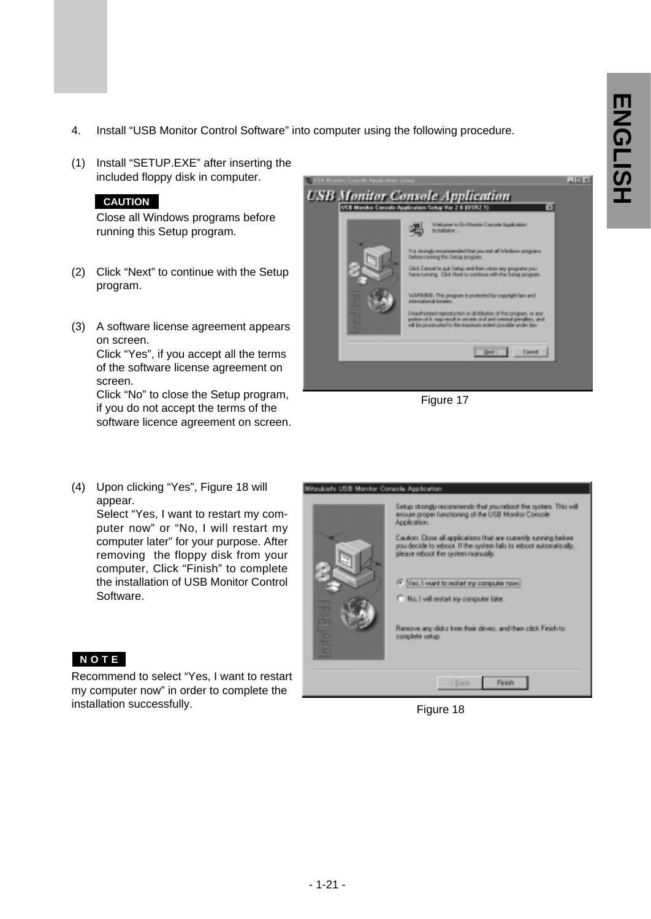- 4. Install "USB Monitor Control Software" into computer using the following procedure.
- (1) Install "SETUP.EXE" after inserting the included floppy disk in computer.

### **CAUTION**

Close all Windows programs before running this Setup program.

- (2) Click "Next" to continue with the Setup program.
- (3) A software license agreement appears on screen. Click "Yes", if you accept all the terms of the software license agreement on

screen. Click "No" to close the Setup program,

if you do not accept the terms of the software licence agreement on screen.

(4) Upon clicking "Yes", Figure 18 will appear.

Select "Yes, I want to restart my computer now" or "No, I will restart my computer later" for your purpose. After removing the floppy disk from your computer, Click "Finish" to complete the installation of USB Monitor Control Software.



Recommend to select "Yes, I want to restart my computer now" in order to complete the installation successfully.



Figure 17

Mitsubishi USB Monitor Console Application

# Setup strongly recommends that you reboot the system. This will<br>ensure proper functioning of the USB Monitor Console<br>Application. Caution: Close all applications that are currently surving below<br>you decide to reboot. If the system tails to reboot automatically,<br>please reboot the system nanually. Fig.1 want to restart by computer now. C. No. I will restart my computer later. Renove any disks from their drives, and then click Finish to<br>complete setup.  $-$  < Back Finish

Figure 18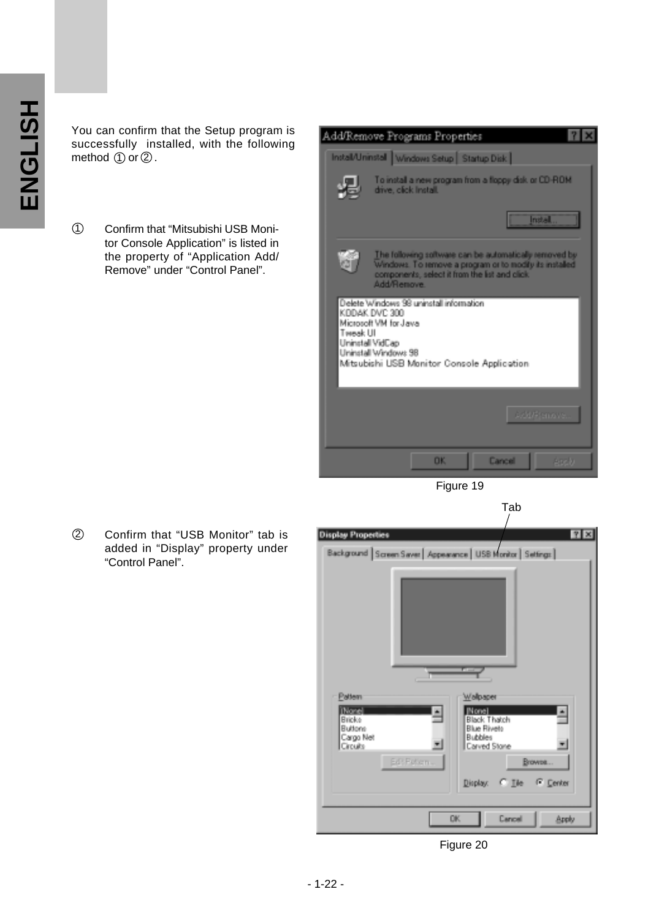You can confirm that the Setup program is successfully installed, with the following method  $\textcircled{\scriptsize{1}}$  or  $\textcircled{\scriptsize{2}}$  .

Confirm that "Mitsubishi USB Monitor Console Application" is listed in the property of "Application Add/ Remove" under "Control Panel".  $\odot$ 





Confirm that "USB Monitor" tab is added in "Display" property under "Control Panel".  $\circled{2}$ 



Figure 20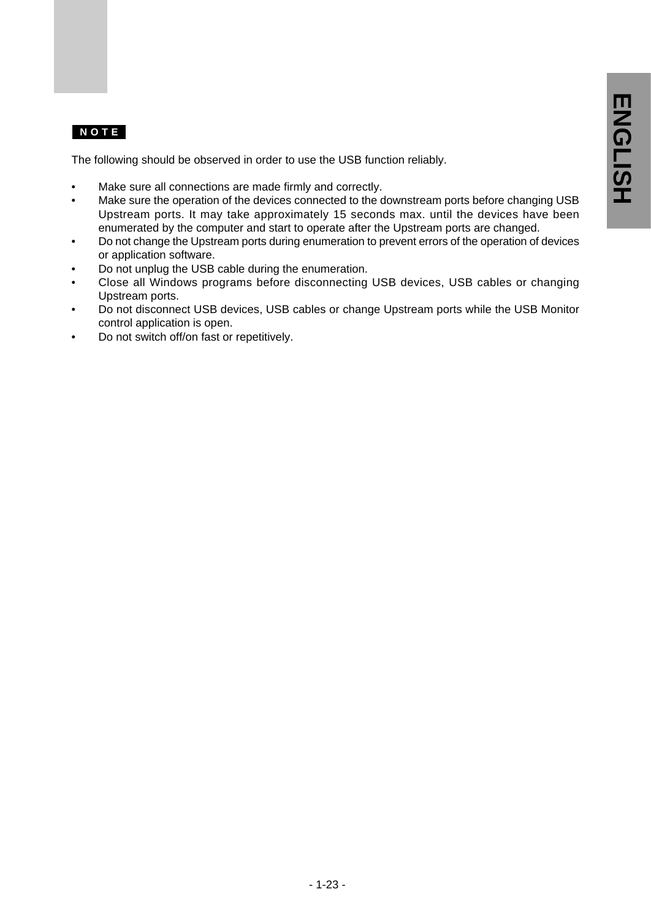### **NOTE**

The following should be observed in order to use the USB function reliably.

- Make sure all connections are made firmly and correctly.
- Make sure the operation of the devices connected to the downstream ports before changing USB Upstream ports. It may take approximately 15 seconds max. until the devices have been enumerated by the computer and start to operate after the Upstream ports are changed.
- Do not change the Upstream ports during enumeration to prevent errors of the operation of devices or application software.
- Do not unplug the USB cable during the enumeration.
- Close all Windows programs before disconnecting USB devices, USB cables or changing Upstream ports.
- Do not disconnect USB devices, USB cables or change Upstream ports while the USB Monitor control application is open.
- Do not switch off/on fast or repetitively.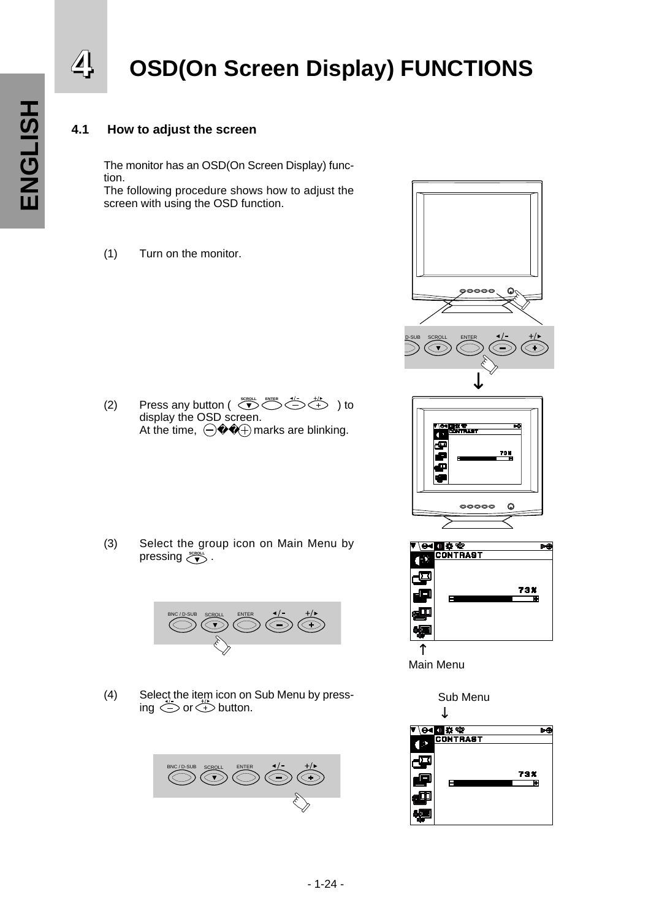# 4 OSD(On Screen Display) FUNCTIONS

### **4.1 How to adjust the screen**

The monitor has an OSD(On Screen Display) function. The following procedure shows how to adjust the

screen with using the OSD function.

(1) Turn on the monitor.

 $(2)$  Press any button ( $\overbrace{\bullet}^{\text{score}}$   $\overbrace{\bullet}^{\text{source}}$ ) to display the OSD screen.<br>At the time,  $\bigoplus$   $\oplus$  m At the time,  $\bigoplus$   $\qquad$   $\oplus$  marks are blinking.

(3) Select the group icon on Main Menu by pressing گُلُّ pressing.



(4) Select the item icon on Sub Menu by pressing  $\bigcirc$  or  $\bigcirc$  button.









Main Menu

Sub Menu

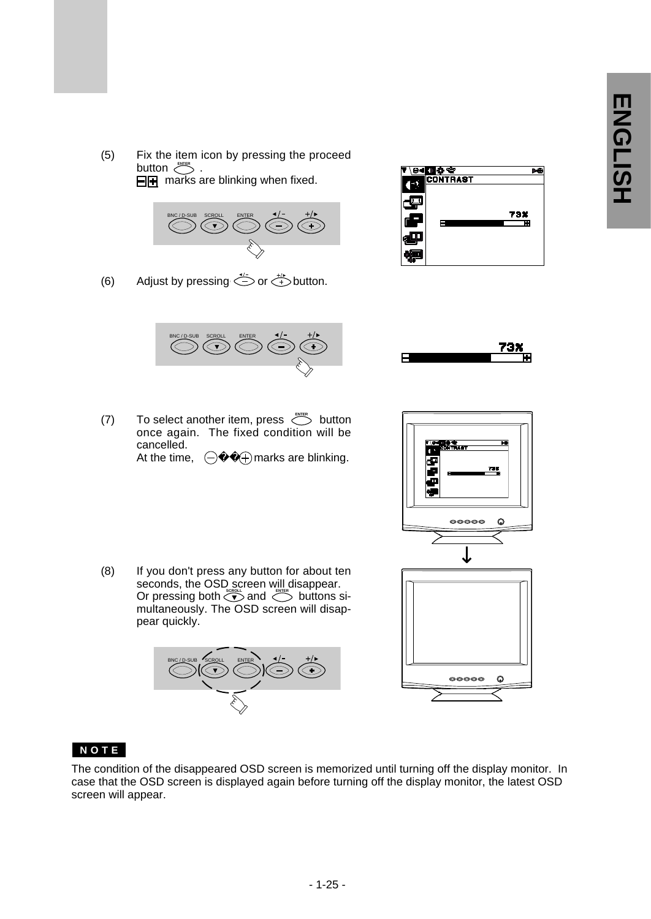(5) Fix the item icon by pressing the proceed . button گ  $\Box$ **F** marks are blinking when fixed.

(6) Adjust by pressing  $\iff$  or  $\iff$  button.



<mark>()</mark> ☆ <del>℃</del><br>CONTRAST 73%





(7) To select another item, press  $\sum_{n=1}^{\infty}$  button once again. The fixed condition will be cancelled.<br>At the time,  $\bigoplus$ **ENTER**

At the time,  $\bigoplus$   $\bigoplus$  marks are blinking.



(8) If you don't press any button for about ten seconds, the OSD screen will disappear. Or pressing both  $\bigotimes^{\text{exco}}$  and  $\bigotimes^{\text{exco}}$  buttons simultaneously. The OSD screen will disappear quickly.





### **NOTE**

The condition of the disappeared OSD screen is memorized until turning off the display monitor. In case that the OSD screen is displayed again before turning off the display monitor, the latest OSD screen will appear.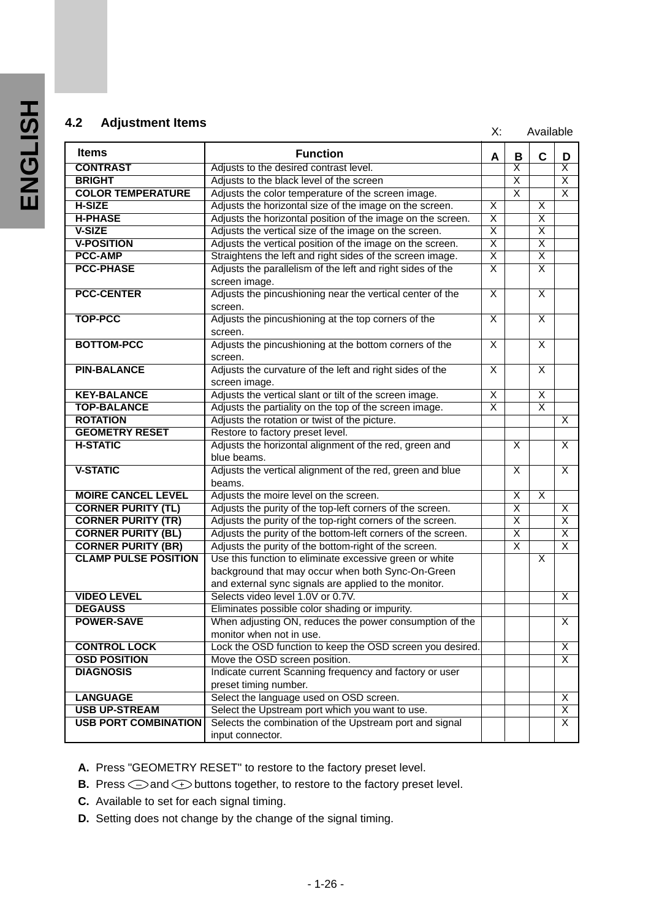# **4.2 Adjustment Items All and Adjustment Items X:** Available

| <b>Items</b>                | <b>Function</b>                                                          | A                       | в                       | C                       | D                       |
|-----------------------------|--------------------------------------------------------------------------|-------------------------|-------------------------|-------------------------|-------------------------|
| <b>CONTRAST</b>             | Adjusts to the desired contrast level.                                   |                         | $\overline{\mathsf{x}}$ |                         | $\overline{\mathsf{x}}$ |
| <b>BRIGHT</b>               | Adjusts to the black level of the screen                                 |                         | $\overline{\mathsf{x}}$ |                         | $\overline{\mathsf{x}}$ |
| <b>COLOR TEMPERATURE</b>    | Adjusts the color temperature of the screen image.                       |                         | $\overline{\mathsf{x}}$ |                         | $\overline{\mathsf{x}}$ |
| <b>H-SIZE</b>               | Adjusts the horizontal size of the image on the screen.                  | Χ                       |                         | X                       |                         |
| <b>H-PHASE</b>              | Adjusts the horizontal position of the image on the screen.              | $\overline{\mathsf{x}}$ |                         | $\overline{\mathsf{x}}$ |                         |
| <b>V-SIZE</b>               | Adjusts the vertical size of the image on the screen.                    | $\overline{\mathsf{x}}$ |                         | $\overline{\mathsf{x}}$ |                         |
| <b>V-POSITION</b>           | Adjusts the vertical position of the image on the screen.                | $\overline{\mathsf{x}}$ |                         | $\overline{\mathsf{x}}$ |                         |
| <b>PCC-AMP</b>              | Straightens the left and right sides of the screen image.                | $\overline{\mathsf{x}}$ |                         | $\overline{\mathsf{x}}$ |                         |
| <b>PCC-PHASE</b>            | Adjusts the parallelism of the left and right sides of the               | $\overline{\mathsf{x}}$ |                         | $\overline{\mathsf{x}}$ |                         |
|                             | screen image.                                                            |                         |                         |                         |                         |
| <b>PCC-CENTER</b>           | Adjusts the pincushioning near the vertical center of the<br>screen.     | $\overline{\mathsf{x}}$ |                         | $\overline{\mathsf{x}}$ |                         |
| <b>TOP-PCC</b>              | Adjusts the pincushioning at the top corners of the                      | X                       |                         | X                       |                         |
|                             | screen.                                                                  |                         |                         |                         |                         |
| <b>BOTTOM-PCC</b>           | Adjusts the pincushioning at the bottom corners of the                   | $\overline{\mathsf{x}}$ |                         | $\overline{\mathsf{x}}$ |                         |
|                             | screen.                                                                  |                         |                         |                         |                         |
| <b>PIN-BALANCE</b>          | Adjusts the curvature of the left and right sides of the                 | $\overline{\mathsf{x}}$ |                         | $\overline{\mathsf{x}}$ |                         |
|                             | screen image.                                                            |                         |                         |                         |                         |
| <b>KEY-BALANCE</b>          | Adjusts the vertical slant or tilt of the screen image.                  | $\overline{\mathsf{x}}$ |                         | $\overline{\mathsf{x}}$ |                         |
| <b>TOP-BALANCE</b>          | Adjusts the partiality on the top of the screen image.                   | $\overline{\mathsf{x}}$ |                         | $\overline{\mathsf{x}}$ |                         |
| <b>ROTATION</b>             | Adjusts the rotation or twist of the picture.                            |                         |                         |                         | $\overline{X}$          |
| <b>GEOMETRY RESET</b>       | Restore to factory preset level.                                         |                         |                         |                         |                         |
| <b>H-STATIC</b>             | Adjusts the horizontal alignment of the red, green and                   |                         | $\overline{\mathsf{x}}$ |                         | $\overline{\mathsf{x}}$ |
| <b>V-STATIC</b>             | blue beams.<br>Adjusts the vertical alignment of the red, green and blue |                         | $\overline{\mathsf{x}}$ |                         | $\overline{\mathsf{x}}$ |
|                             | beams.                                                                   |                         |                         |                         |                         |
| <b>MOIRE CANCEL LEVEL</b>   | Adjusts the moire level on the screen.                                   |                         | $\overline{\mathsf{x}}$ | $\overline{\mathsf{x}}$ |                         |
| <b>CORNER PURITY (TL)</b>   | Adjusts the purity of the top-left corners of the screen.                |                         | $\overline{\mathsf{x}}$ |                         | $\overline{\mathsf{x}}$ |
| <b>CORNER PURITY (TR)</b>   | Adjusts the purity of the top-right corners of the screen.               |                         | $\overline{\mathsf{x}}$ |                         | $\overline{\mathsf{x}}$ |
| <b>CORNER PURITY (BL)</b>   | Adjusts the purity of the bottom-left corners of the screen.             |                         | $\overline{\mathsf{x}}$ |                         | $\overline{X}$          |
| <b>CORNER PURITY (BR)</b>   | Adjusts the purity of the bottom-right of the screen.                    |                         | $\overline{\mathsf{x}}$ |                         | $\overline{\mathsf{x}}$ |
| <b>CLAMP PULSE POSITION</b> | Use this function to eliminate excessive green or white                  |                         |                         | X                       |                         |
|                             | background that may occur when both Sync-On-Green                        |                         |                         |                         |                         |
|                             | and external sync signals are applied to the monitor.                    |                         |                         |                         |                         |
| <b>VIDEO LEVEL</b>          | Selects video level 1.0V or 0.7V.                                        |                         |                         |                         | $\overline{\mathsf{x}}$ |
| <b>DEGAUSS</b>              | Eliminates possible color shading or impurity.                           |                         |                         |                         |                         |
| <b>POWER-SAVE</b>           | When adjusting ON, reduces the power consumption of the                  |                         |                         |                         | $\overline{\mathsf{x}}$ |
|                             | monitor when not in use.                                                 |                         |                         |                         |                         |
| <b>CONTROL LOCK</b>         | Lock the OSD function to keep the OSD screen you desired.                |                         |                         |                         | $\overline{\mathsf{x}}$ |
| <b>OSD POSITION</b>         | Move the OSD screen position.                                            |                         |                         |                         | $\overline{\mathsf{x}}$ |
| <b>DIAGNOSIS</b>            | Indicate current Scanning frequency and factory or user                  |                         |                         |                         |                         |
|                             | preset timing number.                                                    |                         |                         |                         |                         |
| <b>LANGUAGE</b>             | Select the language used on OSD screen.                                  |                         |                         |                         | Χ                       |
| <b>USB UP-STREAM</b>        | Select the Upstream port which you want to use.                          |                         |                         |                         | $\overline{\mathsf{x}}$ |
| <b>USB PORT COMBINATION</b> | Selects the combination of the Upstream port and signal                  |                         |                         |                         | $\overline{x}$          |
|                             | input connector.                                                         |                         |                         |                         |                         |

**A.** Press "GEOMETRY RESET" to restore to the factory preset level.

- **B.** Press  $\bigcirc$  and  $\bigcirc$  buttons together, to restore to the factory preset level.
- **C.** Available to set for each signal timing.
- **D.** Setting does not change by the change of the signal timing.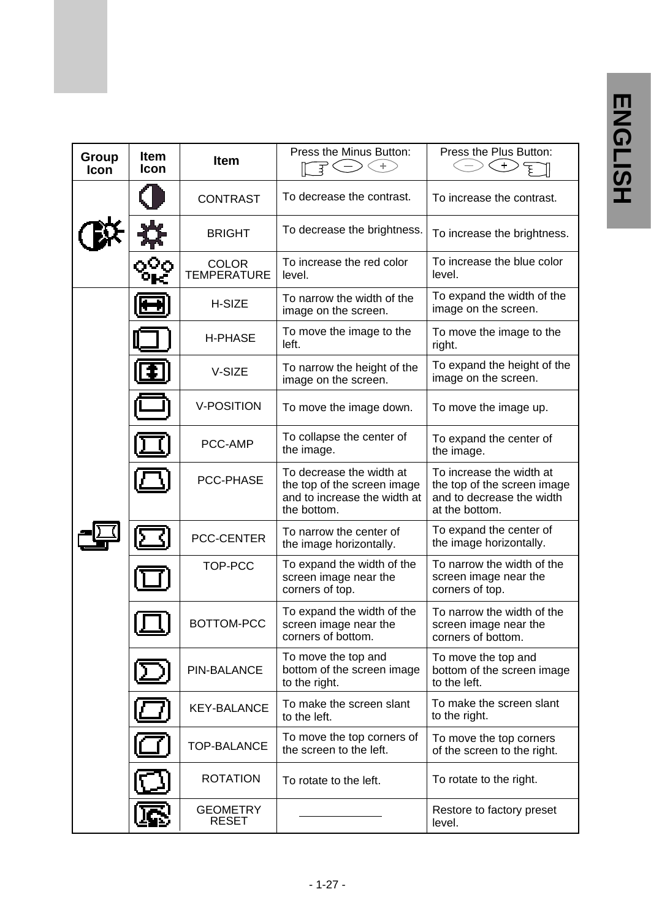| Group<br><b>Icon</b> | ltem<br><b>Icon</b> | <b>Item</b>                        | Press the Minus Button:<br>ਝੋ<br>÷.                                                                    | Press the Plus Button:                                                                                 |
|----------------------|---------------------|------------------------------------|--------------------------------------------------------------------------------------------------------|--------------------------------------------------------------------------------------------------------|
|                      |                     | <b>CONTRAST</b>                    | To decrease the contrast.                                                                              | To increase the contrast.                                                                              |
|                      |                     | <b>BRIGHT</b>                      | To decrease the brightness.                                                                            | To increase the brightness.                                                                            |
|                      |                     | <b>COLOR</b><br><b>TEMPERATURE</b> | To increase the red color<br>level.                                                                    | To increase the blue color<br>level.                                                                   |
|                      |                     | H-SIZE                             | To narrow the width of the<br>image on the screen.                                                     | To expand the width of the<br>image on the screen.                                                     |
|                      |                     | H-PHASE                            | To move the image to the<br>left.                                                                      | To move the image to the<br>right.                                                                     |
|                      |                     | V-SIZE                             | To narrow the height of the<br>image on the screen.                                                    | To expand the height of the<br>image on the screen.                                                    |
|                      |                     | V-POSITION                         | To move the image down.                                                                                | To move the image up.                                                                                  |
|                      |                     | PCC-AMP                            | To collapse the center of<br>the image.                                                                | To expand the center of<br>the image.                                                                  |
|                      |                     | PCC-PHASE                          | To decrease the width at<br>the top of the screen image<br>and to increase the width at<br>the bottom. | To increase the width at<br>the top of the screen image<br>and to decrease the width<br>at the bottom. |
|                      |                     | PCC-CENTER                         | To narrow the center of<br>the image horizontally.                                                     | To expand the center of<br>the image horizontally.                                                     |
|                      |                     | TOP-PCC                            | To expand the width of the<br>screen image near the<br>corners of top.                                 | To narrow the width of the<br>screen image near the<br>corners of top.                                 |
|                      |                     | BOTTOM-PCC                         | To expand the width of the<br>screen image near the<br>corners of bottom.                              | To narrow the width of the<br>screen image near the<br>corners of bottom.                              |
|                      |                     | PIN-BALANCE                        | To move the top and<br>bottom of the screen image<br>to the right.                                     | To move the top and<br>bottom of the screen image<br>to the left.                                      |
|                      |                     | <b>KEY-BALANCE</b>                 | To make the screen slant<br>to the left.                                                               | To make the screen slant<br>to the right.                                                              |
|                      |                     | <b>TOP-BALANCE</b>                 | To move the top corners of<br>the screen to the left.                                                  | To move the top corners<br>of the screen to the right.                                                 |
|                      |                     | <b>ROTATION</b>                    | To rotate to the left.                                                                                 | To rotate to the right.                                                                                |
|                      |                     | <b>GEOMETRY</b><br><b>RESET</b>    |                                                                                                        | Restore to factory preset<br>level.                                                                    |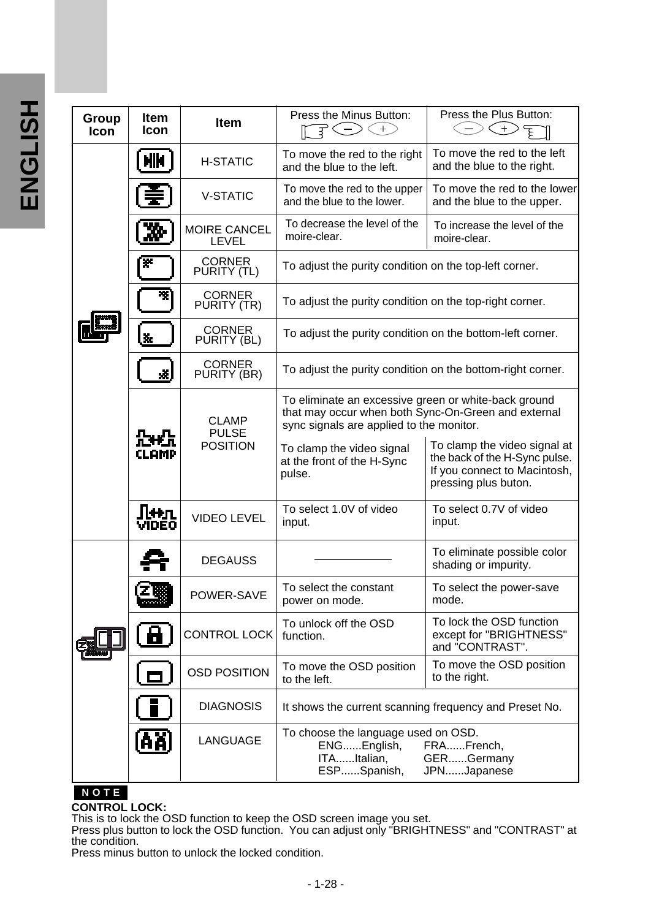| U,     |
|--------|
|        |
|        |
| ŋ<br>ſ |
|        |
|        |

| Group<br>Icon | <b>Item</b><br>Icon | Item                         | Press the Minus Button:<br>子(一                                                                                                                          | Press the Plus Button:<br>$\ddot{}$                                    |                                                                                                                       |
|---------------|---------------------|------------------------------|---------------------------------------------------------------------------------------------------------------------------------------------------------|------------------------------------------------------------------------|-----------------------------------------------------------------------------------------------------------------------|
|               | NИ                  | <b>H-STATIC</b>              | To move the red to the right<br>and the blue to the left.                                                                                               | To move the red to the left<br>and the blue to the right.              |                                                                                                                       |
|               |                     | <b>V-STATIC</b>              | To move the red to the upper<br>and the blue to the lower.                                                                                              | To move the red to the lower<br>and the blue to the upper.             |                                                                                                                       |
|               |                     | MOIRE CANCEL<br>LEVEL        | To decrease the level of the<br>moire-clear.                                                                                                            | To increase the level of the<br>moire-clear.                           |                                                                                                                       |
|               | ×                   | <b>CORNER</b><br>PURITY (TL) | To adjust the purity condition on the top-left corner.                                                                                                  |                                                                        |                                                                                                                       |
|               | ×.                  | <b>CORNER</b><br>PURITY (TR) | To adjust the purity condition on the top-right corner.                                                                                                 |                                                                        |                                                                                                                       |
|               | Ă.                  | <b>CORNER</b><br>PURITY (BL) | To adjust the purity condition on the bottom-left corner.                                                                                               |                                                                        |                                                                                                                       |
|               | x.                  | <b>CORNER</b><br>PURITY (BR) | To adjust the purity condition on the bottom-right corner.                                                                                              |                                                                        |                                                                                                                       |
|               |                     | <b>CLAMP</b><br><b>PULSE</b> | To eliminate an excessive green or white-back ground<br>that may occur when both Sync-On-Green and external<br>sync signals are applied to the monitor. |                                                                        |                                                                                                                       |
|               | CLAMP               |                              | <b>POSITION</b>                                                                                                                                         | To clamp the video signal<br>at the front of the H-Sync<br>pulse.      | To clamp the video signal at<br>the back of the H-Sync pulse.<br>If you connect to Macintosh,<br>pressing plus buton. |
|               | lπ<br>VIDEO         | <b>VIDEO LEVEL</b>           | To select 1.0V of video<br>input.                                                                                                                       | To select 0.7V of video<br>input.                                      |                                                                                                                       |
|               |                     | <b>DEGAUSS</b>               |                                                                                                                                                         | To eliminate possible color<br>shading or impurity.                    |                                                                                                                       |
|               |                     | POWER-SAVE                   | To select the constant<br>power on mode.                                                                                                                | To select the power-save<br>mode.                                      |                                                                                                                       |
|               | 8                   | <b>CONTROL LOCK</b>          | To unlock off the OSD<br>function.                                                                                                                      | To lock the OSD function<br>except for "BRIGHTNESS"<br>and "CONTRAST". |                                                                                                                       |
|               | l o J               | <b>OSD POSITION</b>          | To move the OSD position<br>to the left.                                                                                                                | To move the OSD position<br>to the right.                              |                                                                                                                       |
|               |                     | <b>DIAGNOSIS</b>             | It shows the current scanning frequency and Preset No.                                                                                                  |                                                                        |                                                                                                                       |
|               | (AÄ)                | LANGUAGE                     | To choose the language used on OSD.<br>ENGEnglish,<br>ITAItalian,<br>ESPSpanish,                                                                        | FRAFrench,<br>GERGermany<br>JPNJapanese                                |                                                                                                                       |

### **NOTE**

### **CONTROL LOCK:**

This is to lock the OSD function to keep the OSD screen image you set.

Press plus button to lock the OSD function. You can adjust only "BRIGHTNESS" and "CONTRAST" at the condition.

Press minus button to unlock the locked condition.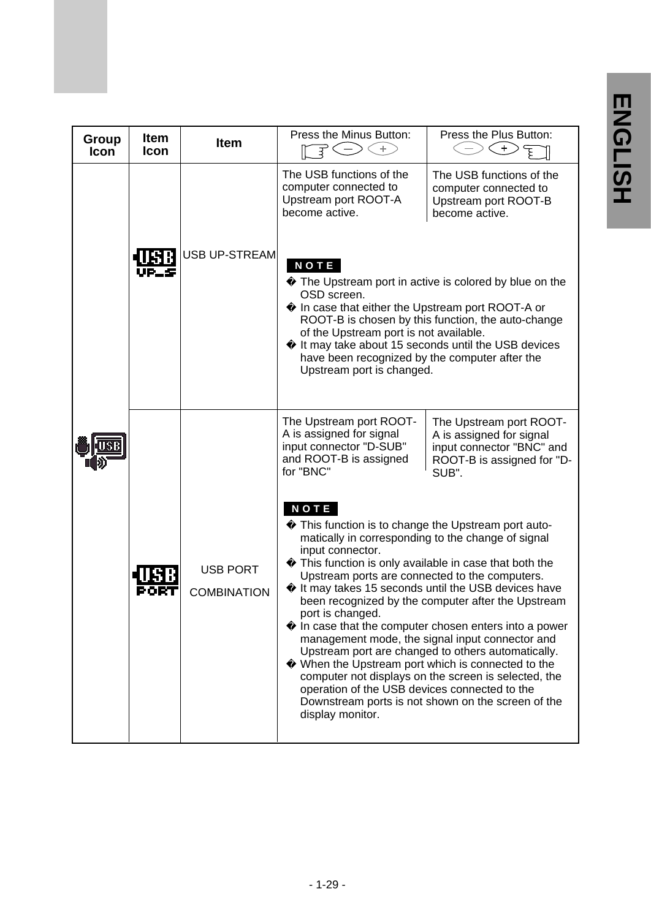| Group<br>Icon | <b>Item</b><br><b>Icon</b> | Item               | Press the Minus Button:<br>⊕.<br>$\overline{\mathbb{F}} \subset \mathbb{F}$                                                                                                                                    | Press the Plus Button:<br>$\langle + \rangle$                                                                                                                                                                                                                                                                                                                                                                                               |
|---------------|----------------------------|--------------------|----------------------------------------------------------------------------------------------------------------------------------------------------------------------------------------------------------------|---------------------------------------------------------------------------------------------------------------------------------------------------------------------------------------------------------------------------------------------------------------------------------------------------------------------------------------------------------------------------------------------------------------------------------------------|
|               |                            | USB UP-STREAMl     | The USB functions of the<br>computer connected to<br>Upstream port ROOT-A<br>become active.                                                                                                                    | The USB functions of the<br>computer connected to<br>Upstream port ROOT-B<br>become active.                                                                                                                                                                                                                                                                                                                                                 |
|               |                            |                    | <b>NOTE</b><br>OSD screen.<br>In case that either the Upstream port ROOT-A or<br>of the Upstream port is not available.<br>have been recognized by the computer after the<br>Upstream port is changed.         | The Upstream port in active is colored by blue on the<br>ROOT-B is chosen by this function, the auto-change<br>It may take about 15 seconds until the USB devices                                                                                                                                                                                                                                                                           |
|               |                            | <b>USB PORT</b>    | The Upstream port ROOT-<br>A is assigned for signal<br>input connector "D-SUB"<br>and ROOT-B is assigned<br>for "BNC"<br><b>NOTE</b><br>matically in corresponding to the change of signal<br>input connector. | The Upstream port ROOT-<br>A is assigned for signal<br>input connector "BNC" and<br>ROOT-B is assigned for "D-<br>SUB".<br>This function is to change the Upstream port auto-<br>This function is only available in case that both the                                                                                                                                                                                                      |
|               | PORT                       | <b>COMBINATION</b> | Upstream ports are connected to the computers.<br>port is changed.<br>operation of the USB devices connected to the<br>display monitor.                                                                        | It may takes 15 seconds until the USB devices have<br>been recognized by the computer after the Upstream<br>In case that the computer chosen enters into a power<br>management mode, the signal input connector and<br>Upstream port are changed to others automatically.<br>When the Upstream port which is connected to the<br>computer not displays on the screen is selected, the<br>Downstream ports is not shown on the screen of the |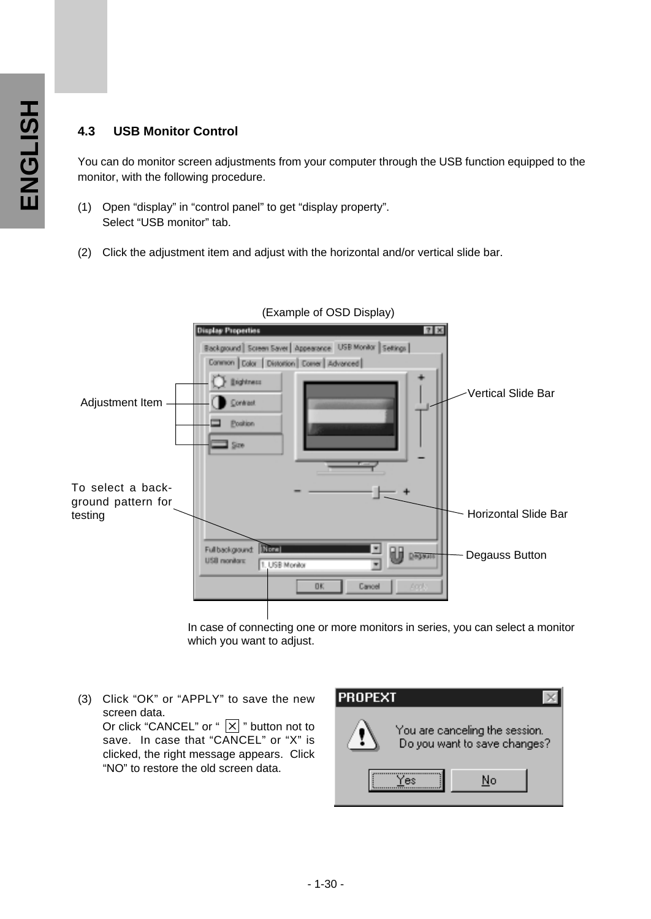### **4.3 USB Monitor Control**

You can do monitor screen adjustments from your computer through the USB function equipped to the monitor, with the following procedure.

- (1) Open "display" in "control panel" to get "display property". Select "USB monitor" tab.
- (2) Click the adjustment item and adjust with the horizontal and/or vertical slide bar.



(Example of OSD Display)

In case of connecting one or more monitors in series, you can select a monitor which you want to adjust.

(3) Click "OK" or "APPLY" to save the new screen data. Or click "CANCEL" or "  $\boxed{\times}$  " button not to save. In case that "CANCEL" or "X" is clicked, the right message appears. Click "NO" to restore the old screen data.

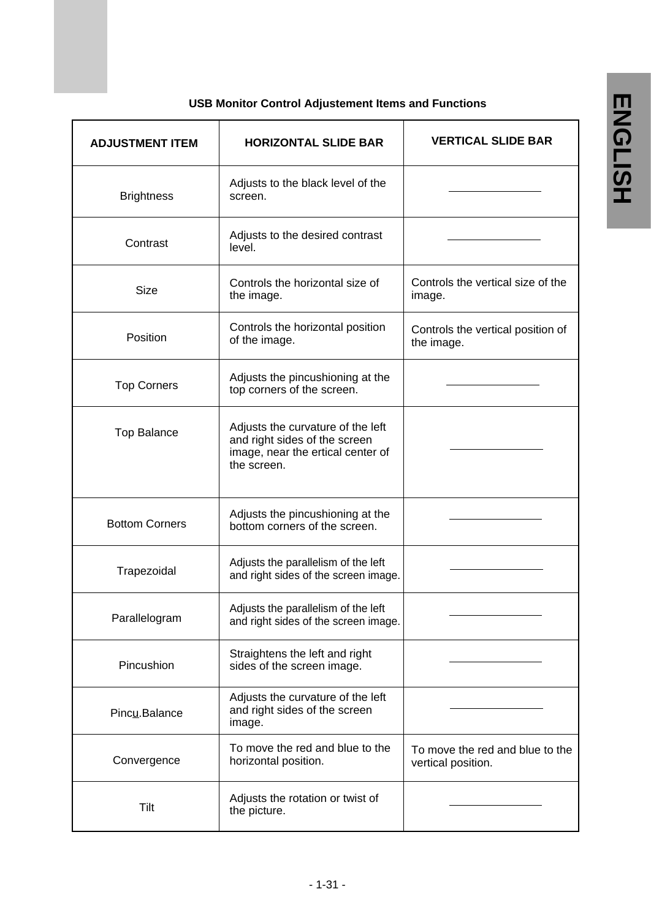| <b>ADJUSTMENT ITEM</b> |                       | <b>HORIZONTAL SLIDE BAR</b>                                                                                            | <b>VERTICAL SLIDE BAR</b>                             |
|------------------------|-----------------------|------------------------------------------------------------------------------------------------------------------------|-------------------------------------------------------|
|                        | <b>Brightness</b>     | Adjusts to the black level of the<br>screen.                                                                           |                                                       |
|                        | Contrast              | Adjusts to the desired contrast<br>level.                                                                              |                                                       |
|                        | Size                  | Controls the horizontal size of<br>the image.                                                                          | Controls the vertical size of the<br>image.           |
|                        | Position              | Controls the horizontal position<br>of the image.                                                                      | Controls the vertical position of<br>the image.       |
|                        | <b>Top Corners</b>    | Adjusts the pincushioning at the<br>top corners of the screen.                                                         |                                                       |
|                        | <b>Top Balance</b>    | Adjusts the curvature of the left<br>and right sides of the screen<br>image, near the ertical center of<br>the screen. |                                                       |
|                        | <b>Bottom Corners</b> | Adjusts the pincushioning at the<br>bottom corners of the screen.                                                      |                                                       |
|                        | Trapezoidal           | Adjusts the parallelism of the left<br>and right sides of the screen image.                                            |                                                       |
|                        | Parallelogram         | Adjusts the parallelism of the left<br>and right sides of the screen image.                                            |                                                       |
|                        | Pincushion            | Straightens the left and right<br>sides of the screen image.                                                           |                                                       |
|                        | Pincu.Balance         | Adjusts the curvature of the left<br>and right sides of the screen<br>image.                                           |                                                       |
|                        | Convergence           | To move the red and blue to the<br>horizontal position.                                                                | To move the red and blue to the<br>vertical position. |
|                        | Tilt                  | Adjusts the rotation or twist of<br>the picture.                                                                       |                                                       |

### **USB Monitor Control Adjustement Items and Functions**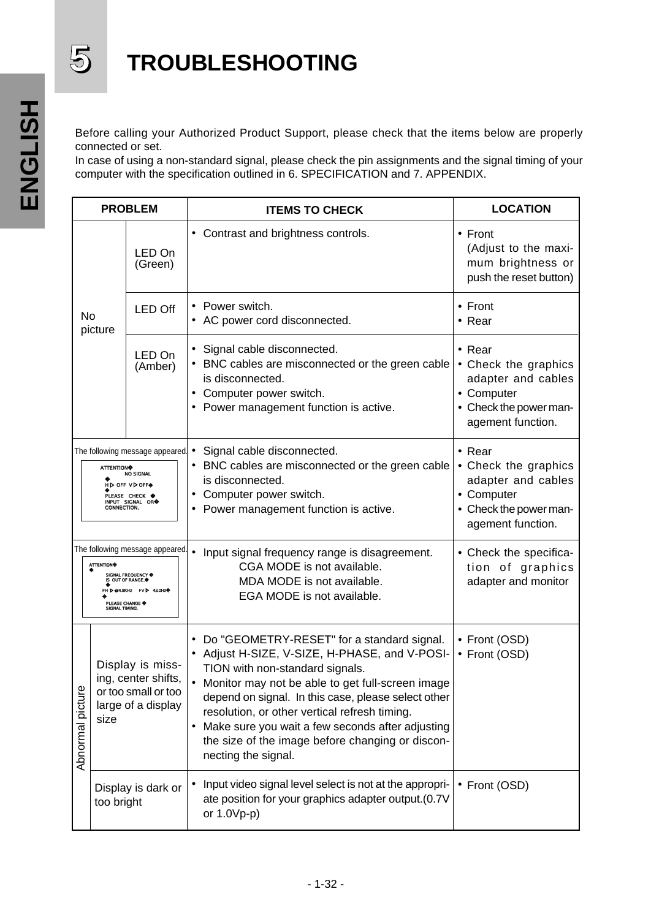

# **5 TROUBLESHOOTING**

Before calling your Authorized Product Support, please check that the items below are properly connected or set.

In case of using a non-standard signal, please check the pin assignments and the signal timing of your computer with the specification outlined in 6. SPECIFICATION and 7. APPENDIX.

| <b>PROBLEM</b>                                                                                                                                                    |                                                                                              |                    | <b>ITEMS TO CHECK</b>                                                                                                                                                                                                                                                                                                                                                                                                         | <b>LOCATION</b>                                                                                                           |
|-------------------------------------------------------------------------------------------------------------------------------------------------------------------|----------------------------------------------------------------------------------------------|--------------------|-------------------------------------------------------------------------------------------------------------------------------------------------------------------------------------------------------------------------------------------------------------------------------------------------------------------------------------------------------------------------------------------------------------------------------|---------------------------------------------------------------------------------------------------------------------------|
|                                                                                                                                                                   |                                                                                              | LED On<br>(Green)  | • Contrast and brightness controls.                                                                                                                                                                                                                                                                                                                                                                                           | $\bullet$ Front<br>(Adjust to the maxi-<br>mum brightness or<br>push the reset button)                                    |
| No<br>picture                                                                                                                                                     |                                                                                              | <b>LED Off</b>     | • Power switch.<br>AC power cord disconnected.                                                                                                                                                                                                                                                                                                                                                                                | $\bullet$ Front<br>$\bullet$ Rear                                                                                         |
|                                                                                                                                                                   |                                                                                              | LED On<br>(Amber)  | • Signal cable disconnected.<br>• BNC cables are misconnected or the green cable<br>is disconnected.<br>Computer power switch.<br>• Power management function is active.                                                                                                                                                                                                                                                      | • Rear<br>• Check the graphics<br>adapter and cables<br>• Computer<br>• Check the power man-<br>agement function.         |
| The following message appeared.<br><b>ATTENTION</b><br><b>NO SIGNAL</b><br>H D OFF V D OFF<br>PLEASE CHECK<br><b>INPUT SIGNAL OR</b><br><b>CONNECTION.</b>        |                                                                                              |                    | Signal cable disconnected.<br>BNC cables are misconnected or the green cable<br>is disconnected.<br>Computer power switch.<br>Power management function is active.                                                                                                                                                                                                                                                            | $\bullet$ Rear<br>• Check the graphics<br>adapter and cables<br>• Computer<br>• Check the power man-<br>agement function. |
| The following message appeared.<br><b>ATTENTION</b><br>SIGNAL FREQUENCY<br>IS OUT OF RANGE.<br>FH D 24.0KHz FV D 43.0Hz<br><b>PLEASE CHANGE</b><br>SIGNAL TIMING. |                                                                                              |                    | Input signal frequency range is disagreement.<br>CGA MODE is not available.<br>MDA MODE is not available.<br>EGA MODE is not available.                                                                                                                                                                                                                                                                                       | • Check the specifica-<br>tion of graphics<br>adapter and monitor                                                         |
| Abnormal picture                                                                                                                                                  | Display is miss-<br>ing, center shifts,<br>or too small or too<br>large of a display<br>size |                    | Do "GEOMETRY-RESET" for a standard signal.<br>• Adjust H-SIZE, V-SIZE, H-PHASE, and V-POSI-<br>TION with non-standard signals.<br>• Monitor may not be able to get full-screen image<br>depend on signal. In this case, please select other<br>resolution, or other vertical refresh timing.<br>• Make sure you wait a few seconds after adjusting<br>the size of the image before changing or discon-<br>necting the signal. | • Front (OSD)<br>• Front (OSD)                                                                                            |
|                                                                                                                                                                   | too bright                                                                                   | Display is dark or | Input video signal level select is not at the appropri-<br>ate position for your graphics adapter output.(0.7V<br>or 1.0Vp-p)                                                                                                                                                                                                                                                                                                 | • Front (OSD)                                                                                                             |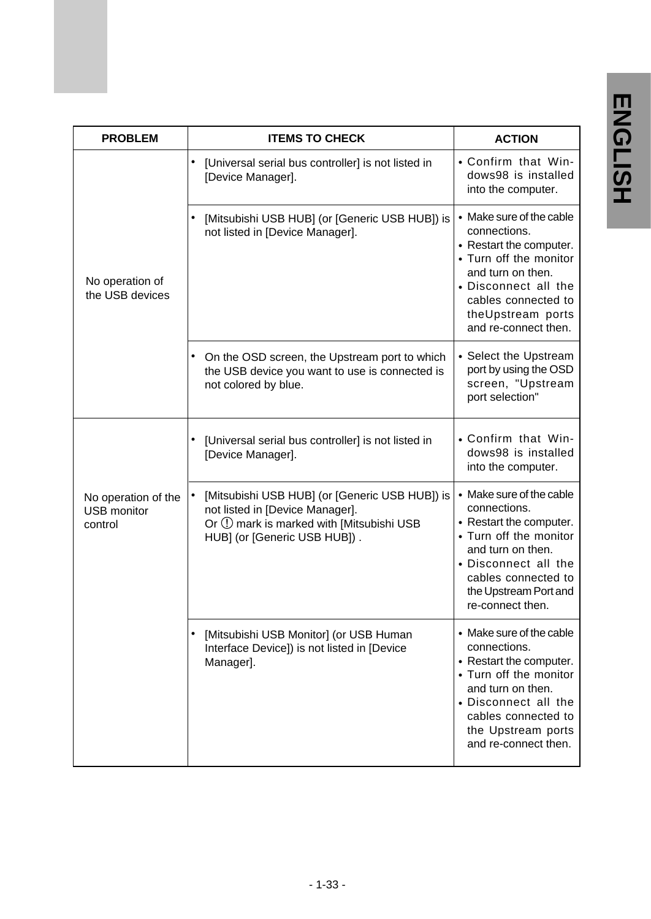| <b>PROBLEM</b>                                       | <b>ITEMS TO CHECK</b>                                                                                                                                         | <b>ACTION</b>                                                                                                                                                                                                   |
|------------------------------------------------------|---------------------------------------------------------------------------------------------------------------------------------------------------------------|-----------------------------------------------------------------------------------------------------------------------------------------------------------------------------------------------------------------|
|                                                      | [Universal serial bus controller] is not listed in<br>[Device Manager].                                                                                       | • Confirm that Win-<br>dows98 is installed<br>into the computer.                                                                                                                                                |
| No operation of<br>the USB devices                   | $\bullet$<br>[Mitsubishi USB HUB] (or [Generic USB HUB]) is<br>not listed in [Device Manager].                                                                | • Make sure of the cable<br>connections.<br>• Restart the computer.<br>• Turn off the monitor<br>and turn on then.<br>• Disconnect all the<br>cables connected to<br>theUpstream ports<br>and re-connect then.  |
|                                                      | • On the OSD screen, the Upstream port to which<br>the USB device you want to use is connected is<br>not colored by blue.                                     | • Select the Upstream<br>port by using the OSD<br>screen, "Upstream<br>port selection"                                                                                                                          |
|                                                      | [Universal serial bus controller] is not listed in<br>[Device Manager].                                                                                       | • Confirm that Win-<br>dows98 is installed<br>into the computer.                                                                                                                                                |
| No operation of the<br><b>USB monitor</b><br>control | [Mitsubishi USB HUB] (or [Generic USB HUB]) is<br>not listed in [Device Manager].<br>Or ① mark is marked with [Mitsubishi USB<br>HUB] (or [Generic USB HUB]). | • Make sure of the cable<br>connections.<br>• Restart the computer.<br>• Turn off the monitor<br>and turn on then.<br>• Disconnect all the<br>cables connected to<br>the Upstream Port and<br>re-connect then.  |
|                                                      | [Mitsubishi USB Monitor] (or USB Human<br>Interface Device]) is not listed in [Device<br>Manager].                                                            | • Make sure of the cable<br>connections.<br>• Restart the computer.<br>• Turn off the monitor<br>and turn on then.<br>• Disconnect all the<br>cables connected to<br>the Upstream ports<br>and re-connect then. |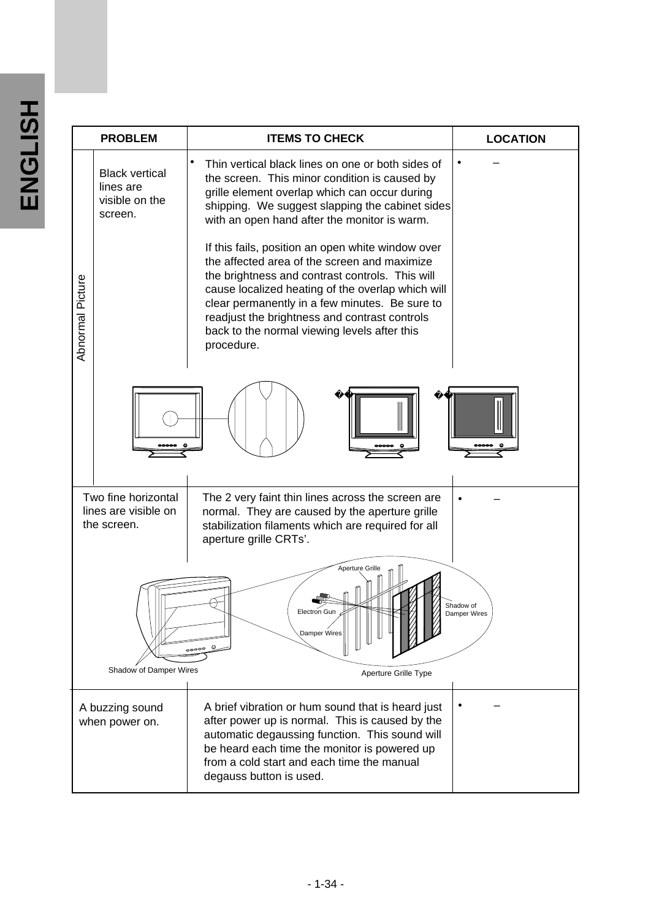|                  | <b>PROBLEM</b>                                                  | <b>LOCATION</b>                                                                                                                                                                                                                                                                                                                                                                                                                                                                                                                                                                                                                      |                           |
|------------------|-----------------------------------------------------------------|--------------------------------------------------------------------------------------------------------------------------------------------------------------------------------------------------------------------------------------------------------------------------------------------------------------------------------------------------------------------------------------------------------------------------------------------------------------------------------------------------------------------------------------------------------------------------------------------------------------------------------------|---------------------------|
| Abnormal Picture | <b>Black vertical</b><br>lines are<br>visible on the<br>screen. | Thin vertical black lines on one or both sides of<br>the screen. This minor condition is caused by<br>grille element overlap which can occur during<br>shipping. We suggest slapping the cabinet sides<br>with an open hand after the monitor is warm.<br>If this fails, position an open white window over<br>the affected area of the screen and maximize<br>the brightness and contrast controls. This will<br>cause localized heating of the overlap which will<br>clear permanently in a few minutes. Be sure to<br>readjust the brightness and contrast controls<br>back to the normal viewing levels after this<br>procedure. |                           |
|                  |                                                                 |                                                                                                                                                                                                                                                                                                                                                                                                                                                                                                                                                                                                                                      |                           |
|                  | Two fine horizontal<br>lines are visible on<br>the screen.      | The 2 very faint thin lines across the screen are<br>normal. They are caused by the aperture grille<br>stabilization filaments which are required for all<br>aperture grille CRTs'.                                                                                                                                                                                                                                                                                                                                                                                                                                                  |                           |
|                  | Shadow of Damper Wires                                          | Aperture Grille<br>Electron Gun<br>Damper Wires<br>Aperture Grille Type                                                                                                                                                                                                                                                                                                                                                                                                                                                                                                                                                              | Shadow of<br>Damper Wires |
|                  | A buzzing sound<br>when power on.                               | A brief vibration or hum sound that is heard just<br>after power up is normal. This is caused by the<br>automatic degaussing function. This sound will<br>be heard each time the monitor is powered up<br>from a cold start and each time the manual<br>degauss button is used.                                                                                                                                                                                                                                                                                                                                                      |                           |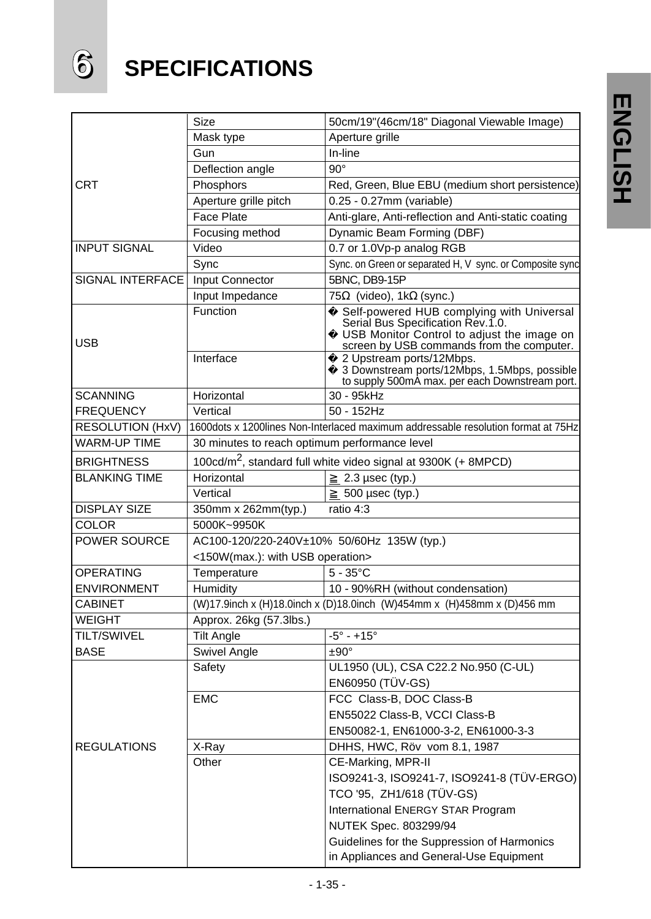# **6 SPECIFICATIONS**

|                      | Size                                          | 50cm/19"(46cm/18" Diagonal Viewable Image)                                                                                                                                |  |  |  |  |  |  |  |  |
|----------------------|-----------------------------------------------|---------------------------------------------------------------------------------------------------------------------------------------------------------------------------|--|--|--|--|--|--|--|--|
|                      | Mask type                                     | Aperture grille                                                                                                                                                           |  |  |  |  |  |  |  |  |
|                      | Gun                                           | In-line                                                                                                                                                                   |  |  |  |  |  |  |  |  |
|                      | Deflection angle                              | $90^\circ$                                                                                                                                                                |  |  |  |  |  |  |  |  |
| <b>CRT</b>           | Phosphors                                     | Red, Green, Blue EBU (medium short persistence)                                                                                                                           |  |  |  |  |  |  |  |  |
|                      | Aperture grille pitch                         | 0.25 - 0.27mm (variable)                                                                                                                                                  |  |  |  |  |  |  |  |  |
|                      | <b>Face Plate</b>                             | Anti-glare, Anti-reflection and Anti-static coating                                                                                                                       |  |  |  |  |  |  |  |  |
|                      | Focusing method                               | Dynamic Beam Forming (DBF)                                                                                                                                                |  |  |  |  |  |  |  |  |
| <b>INPUT SIGNAL</b>  | Video                                         | 0.7 or 1.0Vp-p analog RGB                                                                                                                                                 |  |  |  |  |  |  |  |  |
|                      | Sync                                          | Sync. on Green or separated H, V sync. or Composite sync                                                                                                                  |  |  |  |  |  |  |  |  |
| SIGNAL INTERFACE     | <b>Input Connector</b>                        | 5BNC, DB9-15P                                                                                                                                                             |  |  |  |  |  |  |  |  |
|                      | Input Impedance                               | 75<br>(video), 1k (sync.)                                                                                                                                                 |  |  |  |  |  |  |  |  |
| <b>USB</b>           | Function                                      | Self-powered HUB complying with Universal<br>Serial Bus Specification Rev.1.0.<br>USB Monitor Control to adjust the image on<br>screen by USB commands from the computer. |  |  |  |  |  |  |  |  |
|                      | Interface                                     | 2 Upstream ports/12Mbps.<br>3 Downstream ports/12Mbps, 1.5Mbps, possible<br>to supply 500mA max. per each Downstream port.                                                |  |  |  |  |  |  |  |  |
| <b>SCANNING</b>      | Horizontal                                    | 30 - 95kHz                                                                                                                                                                |  |  |  |  |  |  |  |  |
| <b>FREQUENCY</b>     | Vertical                                      | $50 - 152$ Hz                                                                                                                                                             |  |  |  |  |  |  |  |  |
| RESOLUTION (HxV)     |                                               | 1600 dots x 1200 lines Non-Interlaced maximum addressable resolution format at 75Hz                                                                                       |  |  |  |  |  |  |  |  |
| <b>WARM-UP TIME</b>  | 30 minutes to reach optimum performance level |                                                                                                                                                                           |  |  |  |  |  |  |  |  |
| <b>BRIGHTNESS</b>    |                                               | 100cd/m <sup>2</sup> , standard full white video signal at 9300K (+ 8MPCD)                                                                                                |  |  |  |  |  |  |  |  |
| <b>BLANKING TIME</b> | Horizontal                                    | $2.3$ µsec (typ.)                                                                                                                                                         |  |  |  |  |  |  |  |  |
|                      | Vertical                                      | 500 µsec (typ.)                                                                                                                                                           |  |  |  |  |  |  |  |  |
| <b>DISPLAY SIZE</b>  | 350mm x 262mm(typ.)                           | ratio 4:3                                                                                                                                                                 |  |  |  |  |  |  |  |  |
| <b>COLOR</b>         | 5000K~9950K                                   |                                                                                                                                                                           |  |  |  |  |  |  |  |  |
| <b>POWER SOURCE</b>  | AC100-120/220-240V±10% 50/60Hz 135W (typ.)    |                                                                                                                                                                           |  |  |  |  |  |  |  |  |
|                      | <150W(max.): with USB operation>              |                                                                                                                                                                           |  |  |  |  |  |  |  |  |
| <b>OPERATING</b>     | Temperature                                   | $5 - 35^{\circ}$ C                                                                                                                                                        |  |  |  |  |  |  |  |  |
| <b>ENVIRONMENT</b>   | Humidity                                      | 10 - 90%RH (without condensation)                                                                                                                                         |  |  |  |  |  |  |  |  |
| <b>CABINET</b>       |                                               | (W)17.9inch x (H)18.0inch x (D)18.0inch (W)454mm x (H)458mm x (D)456 mm                                                                                                   |  |  |  |  |  |  |  |  |
| <b>WEIGHT</b>        | Approx. 26kg (57.3lbs.)                       |                                                                                                                                                                           |  |  |  |  |  |  |  |  |
| TILT/SWIVEL          | <b>Tilt Angle</b>                             | $-5^{\circ} - +15^{\circ}$                                                                                                                                                |  |  |  |  |  |  |  |  |
| <b>BASE</b>          | Swivel Angle                                  | $±90^{\circ}$                                                                                                                                                             |  |  |  |  |  |  |  |  |
|                      | Safety                                        | UL1950 (UL), CSA C22.2 No.950 (C-UL)                                                                                                                                      |  |  |  |  |  |  |  |  |
|                      |                                               | EN60950 (TÜV-GS)                                                                                                                                                          |  |  |  |  |  |  |  |  |
|                      | <b>EMC</b>                                    | FCC Class-B, DOC Class-B                                                                                                                                                  |  |  |  |  |  |  |  |  |
|                      |                                               | EN55022 Class-B, VCCI Class-B                                                                                                                                             |  |  |  |  |  |  |  |  |
|                      |                                               | EN50082-1, EN61000-3-2, EN61000-3-3                                                                                                                                       |  |  |  |  |  |  |  |  |
| <b>REGULATIONS</b>   | X-Ray                                         | DHHS, HWC, Röv vom 8.1, 1987                                                                                                                                              |  |  |  |  |  |  |  |  |
|                      | Other                                         | CE-Marking, MPR-II                                                                                                                                                        |  |  |  |  |  |  |  |  |
|                      |                                               | ISO9241-3, ISO9241-7, ISO9241-8 (TÜV-ERGO)                                                                                                                                |  |  |  |  |  |  |  |  |
|                      |                                               | TCO '95, ZH1/618 (TÜV-GS)                                                                                                                                                 |  |  |  |  |  |  |  |  |
|                      |                                               | International ENERGY STAR Program                                                                                                                                         |  |  |  |  |  |  |  |  |
|                      |                                               | NUTEK Spec. 803299/94                                                                                                                                                     |  |  |  |  |  |  |  |  |
|                      |                                               | Guidelines for the Suppression of Harmonics<br>in Appliances and General-Use Equipment                                                                                    |  |  |  |  |  |  |  |  |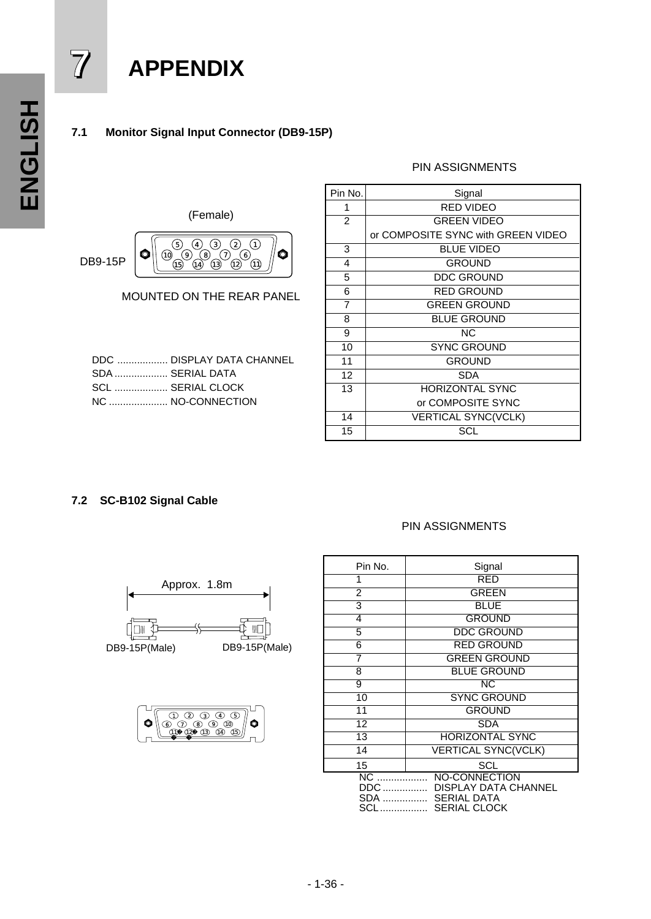# **7 APPENDIX**

### **7.1 Monitor Signal Input Connector (DB9-15P)**

### PIN ASSIGNMENTS



MOUNTED ON THE REAR PANEL

|                   | DDC  DISPLAY DATA CHANNEL |
|-------------------|---------------------------|
| SDA  SERIAL DATA  |                           |
| SCL  SERIAL CLOCK |                           |
|                   | NC  NO-CONNECTION         |
|                   |                           |

| Pin No.        | Signal                             |  |  |  |  |  |  |
|----------------|------------------------------------|--|--|--|--|--|--|
| 1              | RED VIDEO                          |  |  |  |  |  |  |
| $\overline{2}$ | <b>GREEN VIDEO</b>                 |  |  |  |  |  |  |
|                | or COMPOSITE SYNC with GREEN VIDEO |  |  |  |  |  |  |
| 3              | <b>BLUE VIDEO</b>                  |  |  |  |  |  |  |
| 4              | <b>GROUND</b>                      |  |  |  |  |  |  |
| 5              | <b>DDC GROUND</b>                  |  |  |  |  |  |  |
| 6              | <b>RED GROUND</b>                  |  |  |  |  |  |  |
| $\overline{7}$ | <b>GREEN GROUND</b>                |  |  |  |  |  |  |
| 8              | <b>BLUE GROUND</b>                 |  |  |  |  |  |  |
| 9              | ΝC                                 |  |  |  |  |  |  |
| 10             | <b>SYNC GROUND</b>                 |  |  |  |  |  |  |
| 11             | <b>GROUND</b>                      |  |  |  |  |  |  |
| 12             | <b>SDA</b>                         |  |  |  |  |  |  |
| 13             | <b>HORIZONTAL SYNC</b>             |  |  |  |  |  |  |
|                | or COMPOSITE SYNC                  |  |  |  |  |  |  |
| 14             | <b>VERTICAL SYNC(VCLK)</b>         |  |  |  |  |  |  |
| 15             | SCL                                |  |  |  |  |  |  |

### **7.2 SC-B102 Signal Cable**

### PIN ASSIGNMENTS





| Pin No.                 | Signal                                                                                           |
|-------------------------|--------------------------------------------------------------------------------------------------|
| 1                       | RED                                                                                              |
| $\overline{2}$          | <b>GREEN</b>                                                                                     |
| 3                       | <b>BLUE</b>                                                                                      |
| 4                       | <b>GROUND</b>                                                                                    |
| 5                       | <b>DDC GROUND</b>                                                                                |
| 6                       | <b>RED GROUND</b>                                                                                |
| 7                       | <b>GREEN GROUND</b>                                                                              |
| 8                       | <b>BLUE GROUND</b>                                                                               |
| 9                       | NC                                                                                               |
| 10                      | <b>SYNC GROUND</b>                                                                               |
| 11                      | <b>GROUND</b>                                                                                    |
| 12                      | <b>SDA</b>                                                                                       |
| $\overline{13}$         | <b>HORIZONTAL SYNC</b>                                                                           |
| 14                      | <b>VERTICAL SYNC(VCLK)</b>                                                                       |
| 15                      | <b>SCL</b>                                                                                       |
| NC<br>DDC<br>SDA<br>SCL | <b>NO-CONNECTION</b><br><b>DISPLAY DATA CHANNEL</b><br><b>SERIAL DATA</b><br><b>SERIAL CLOCK</b> |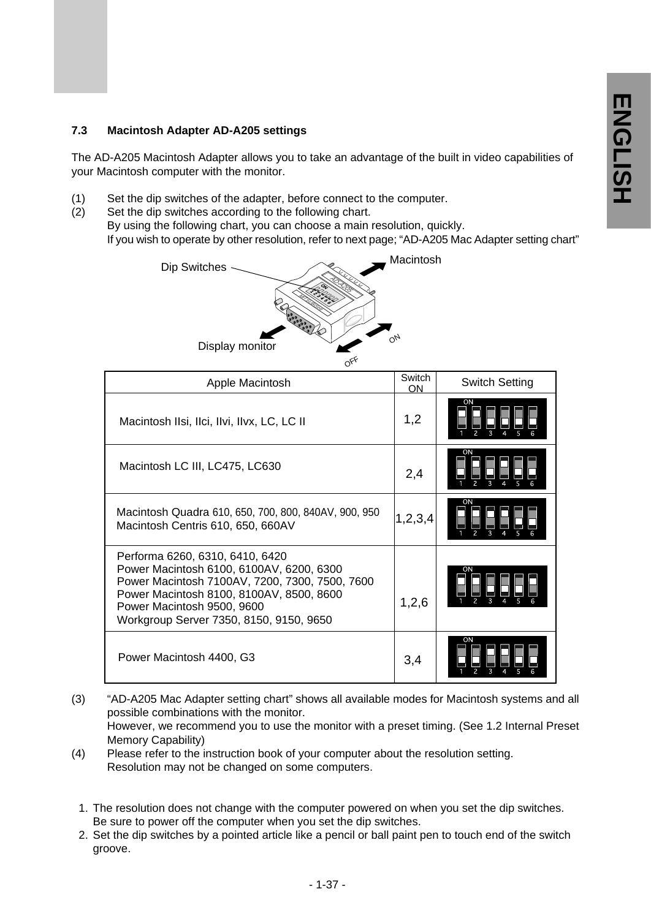### **7.3 Macintosh Adapter AD-A205 settings**

The AD-A205 Macintosh Adapter allows you to take an advantage of the built in video capabilities of your Macintosh computer with the monitor.

- (1) Set the dip switches of the adapter, before connect to the computer.
- (2) Set the dip switches according to the following chart. By using the following chart, you can choose a main resolution, quickly. If you wish to operate by other resolution, refer to next page; "AD-A205 Mac Adapter setting chart"



| Apple Macintosh                                                                                                                                                                                                                                    | Switch<br>ON | Switch Setting |
|----------------------------------------------------------------------------------------------------------------------------------------------------------------------------------------------------------------------------------------------------|--------------|----------------|
| Macintosh Ilsi, Ilci, Ilvi, Ilvx, LC, LC II                                                                                                                                                                                                        | 1,2          | <b>ON</b>      |
| Macintosh LC III, LC475, LC630                                                                                                                                                                                                                     | 2,4          | ON             |
| Macintosh Quadra 610, 650, 700, 800, 840AV, 900, 950<br>Macintosh Centris 610, 650, 660AV                                                                                                                                                          | 1,2,3,4      | OΝ             |
| Performa 6260, 6310, 6410, 6420<br>Power Macintosh 6100, 6100AV, 6200, 6300<br>Power Macintosh 7100AV, 7200, 7300, 7500, 7600<br>Power Macintosh 8100, 8100AV, 8500, 8600<br>Power Macintosh 9500, 9600<br>Workgroup Server 7350, 8150, 9150, 9650 | 1,2,6        | ON             |
| Power Macintosh 4400, G3                                                                                                                                                                                                                           | 3,4          | ON             |

- (3) "AD-A205 Mac Adapter setting chart" shows all available modes for Macintosh systems and all possible combinations with the monitor. However, we recommend you to use the monitor with a preset timing. (See 1.2 Internal Preset Memory Capability)
- (4) Please refer to the instruction book of your computer about the resolution setting. Resolution may not be changed on some computers.
	- 1. The resolution does not change with the computer powered on when you set the dip switches. Be sure to power off the computer when you set the dip switches.
	- 2. Set the dip switches by a pointed article like a pencil or ball paint pen to touch end of the switch groove.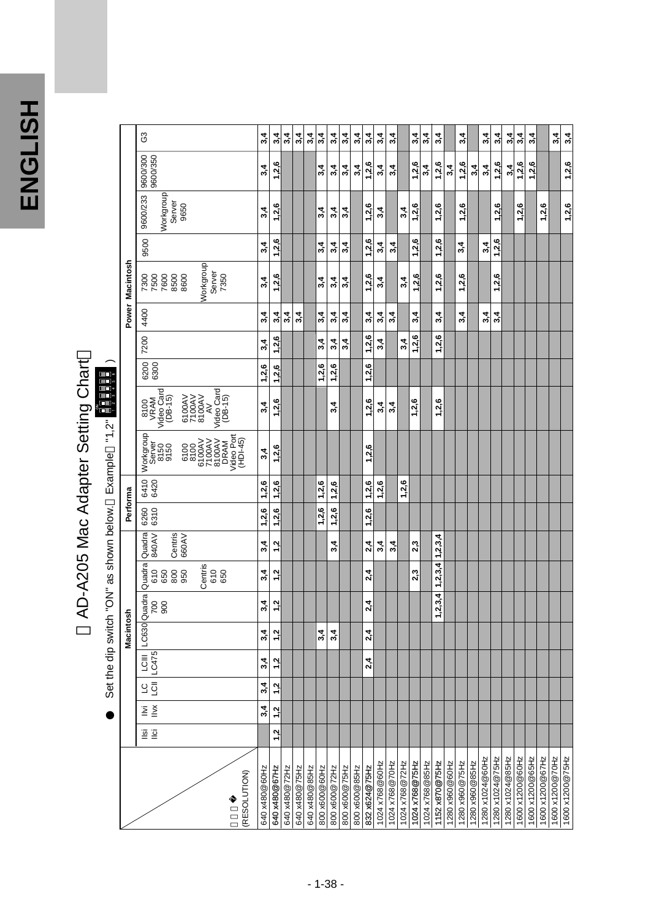ENGLISH **ENGLISH**

# AD-A205 Mac Adapter Setting Chart<br>set the dip switch "ON" as shown below. Example "1,2" **BBBB** ) AD-A205 Mac Adapter Setting Chart

Set the dip switch "ON" as shown below. Example "1,2" |

|                 | G3                                                                                                                                                                                            | 3,4           | 3,4                             | 3,4           | 3,4           | 3,4           | 3,4           | 3,4           | 3,4           | 3,4           | 3,4                      | 3,4            | 3,4            |                | 3,4            | 3,4            | 3,4           |                | 3,4            |                | 3,4             | 3,4             | 3,4             | 3,4             | 4<br>ω,         |                 | 3,4             |  |
|-----------------|-----------------------------------------------------------------------------------------------------------------------------------------------------------------------------------------------|---------------|---------------------------------|---------------|---------------|---------------|---------------|---------------|---------------|---------------|--------------------------|----------------|----------------|----------------|----------------|----------------|---------------|----------------|----------------|----------------|-----------------|-----------------|-----------------|-----------------|-----------------|-----------------|-----------------|--|
|                 | 9600/350<br>9600/300                                                                                                                                                                          | 3,4           | ဖ<br>1,2                        |               |               |               | 3,4           | 3,4           | 3,4           | 3,4           | 1,2,6                    | 3,4            | 3,4            |                | 1,2,6          | 3,4            | 1,2,6         | 3,4            | 1,2,6          | 3,4            | 3,4             | 1,2,6           | 3,4             | 1,2,6           | 1,2,6           |                 |                 |  |
|                 | Workgroup<br>9600/233<br>Server<br>9650                                                                                                                                                       | 3,4           | 1,2,6                           |               |               |               | 3,4           | 3,4           | 3.4           |               | 1,2,6                    | 3,4            |                | 3,4            | 1,2,6          |                | 1,2,6         |                | 1,2,6          |                |                 | 1,2,6           |                 | 1,2,6           |                 | 1,2,6           |                 |  |
|                 | 9500                                                                                                                                                                                          | 3,4           | 1,2,6                           |               |               |               | 3,4           | 3,4           | 4<br>ო        |               | 1,2,6                    | 3,4            | 3,4            |                | 1,2,6          |                | 1,2,6         |                | 3,4            |                | 3,4             | 1,2,6           |                 |                 |                 |                 |                 |  |
| Power Macintosh | Workgroup<br>Server<br>7350<br>7600<br>8500<br>8600<br>7300<br>7500                                                                                                                           | 3,4           | 1,2,6                           |               |               |               | 3,4           | 3,4           | 3,4           |               | 1,2,6                    | 3,4            |                | 3,4            | 1,2,6          |                | 1,2,6         |                | 1,2,6          |                |                 | 1,2,6           |                 |                 |                 |                 |                 |  |
|                 | 4400                                                                                                                                                                                          | 3,4           | 4<br>ო                          | 3,4           | 3,4           |               | 3,4           | 3,4           | 3.4           |               | 4<br>ຕົ                  | 3,4            | 3,4            |                | 4<br>ຕົ        |                | 3,4           |                | 3,4            |                | 3,4             | 3,4             |                 |                 |                 |                 |                 |  |
|                 | 7200                                                                                                                                                                                          | 3,4           | 1,2,6                           |               |               |               | 3,4           | 3,4           | 3,4           |               | 1,2,6                    | 3,4            |                | 3,4            | 1,2,6          |                | 1,2,6         |                |                |                |                 |                 |                 |                 |                 |                 |                 |  |
|                 | 6200                                                                                                                                                                                          | 1,2,6         | 1,2,6                           |               |               |               | 1,2,6         | 1,2,6         |               |               | 1,2,6                    |                |                |                |                |                |               |                |                |                |                 |                 |                 |                 |                 |                 |                 |  |
|                 | Video Card<br>(DB-15)<br>$\begin{array}{c}\n 8100 \\ \hline\n \text{VRAM} \\ \text{Video Card} \\ \text{Video Card} \\ \text{QB-15)}\n \end{array}$<br>6100AV<br>7100AV<br>8100AV<br>AV<br>AV | 3,4           | 1,2,6                           |               |               |               |               | 4<br>ຕົ       |               |               | 1,2,6                    | 3,4            | 3,4            |                | 1,2,6          |                | 1,2,6         |                |                |                |                 |                 |                 |                 |                 |                 |                 |  |
|                 | Workgroup<br>6100<br>8100<br>6100AV<br>6100AV<br>7100AV<br>Video Port<br>Video Port<br>Video Port<br>(HDI-45)<br>Server<br>8150<br>9150                                                       | 3,4           | 1,2,6                           |               |               |               |               |               |               |               | 1,2,6                    |                |                |                |                |                |               |                |                |                |                 |                 |                 |                 |                 |                 |                 |  |
|                 | 6420<br>6420                                                                                                                                                                                  | 1,2,6         | 1,2,6                           |               |               |               | 1,2,6         | 1,2,6         |               |               | ڡ<br>1,2,1               | 1,2,6          |                | 1,2,6          |                |                |               |                |                |                |                 |                 |                 |                 |                 |                 |                 |  |
| Performa        | 6310<br>6260                                                                                                                                                                                  | 1,2,6         | 2,6<br>$\overline{\phantom{0}}$ |               |               |               | 1,2,6         | 1,2,6         |               |               | 1,2,6                    |                |                |                |                |                |               |                |                |                |                 |                 |                 |                 |                 |                 |                 |  |
|                 | Centris<br>660AV<br>Quadra<br>840AV                                                                                                                                                           | 3,4           | 1,2                             |               |               |               |               | 4<br>ო        |               |               | 2,4                      | 3,4            | 4<br>ო         |                | 2,3            |                | 1, 2, 3, 4    |                |                |                |                 |                 |                 |                 |                 |                 |                 |  |
|                 | Quadra<br>Centris<br>800<br>610<br>610<br>650<br>650                                                                                                                                          | 3,4           | 1,2                             |               |               |               |               |               |               |               | 2,4                      |                |                |                | 2,3            |                | 1, 2, 3, 4    |                |                |                |                 |                 |                 |                 |                 |                 |                 |  |
|                 | 900<br>700                                                                                                                                                                                    | 4<br>ო        | 1,2                             |               |               |               |               |               |               |               | 2,4                      |                |                |                |                |                | 1, 2, 3, 4    |                |                |                |                 |                 |                 |                 |                 |                 |                 |  |
| Macintosh       |                                                                                                                                                                                               | 4<br>ຕົ       | 1,2                             |               |               |               | 3,4           | 4<br>ຕົ       |               |               | 4<br>$\ddot{\mathbf{v}}$ |                |                |                |                |                |               |                |                |                |                 |                 |                 |                 |                 |                 |                 |  |
|                 | LCIII LC630 Quadra                                                                                                                                                                            | 3,4           | 1,2                             |               |               |               |               |               |               |               | 2,4                      |                |                |                |                |                |               |                |                |                |                 |                 |                 |                 |                 |                 |                 |  |
|                 | 10   101 <br>  101  10475<br>  101  101                                                                                                                                                       | 3,4           | 1,2                             |               |               |               |               |               |               |               |                          |                |                |                |                |                |               |                |                |                |                 |                 |                 |                 |                 |                 |                 |  |
|                 | $\sum_{i=1}^{n}$<br>Ξ                                                                                                                                                                         | 3,4           | 1 <sub>2</sub>                  |               |               |               |               |               |               |               |                          |                |                |                |                |                |               |                |                |                |                 |                 |                 |                 |                 |                 |                 |  |
|                 | $\overline{6}$ $\overline{6}$                                                                                                                                                                 |               | 1.2                             |               |               |               |               |               |               |               |                          |                |                |                |                |                |               |                |                |                |                 |                 |                 |                 |                 |                 |                 |  |
|                 | (RESOLUTION)                                                                                                                                                                                  | 640 x480@60Hz | 640 x480@67Hz                   | 640 x480@72Hz | 640 x480@75Hz | 640 x480@85Hz | 800 x600@60Hz | 800 x600@72Hz | 800 x600@75Hz | 800 x600@85Hz | 832 x624@75Hz            | 1024 x768@60Hz | 1024 x768@70Hz | 1024 x768@72Hz | 1024 x768@75Hz | 1024 x768@85Hz | 1152x870@75Hz | 1280 x960@60Hz | 1280 x960@75Hz | 1280 x960@85Hz | 1280 x1024@60Hz | 1280 x1024@75Hz | 1280 x1024@85Hz | 1600 x1200@60Hz | 1600 x1200@65Hz | 1600 x1200@67Hz | 1600 x1200@70Hz |  |